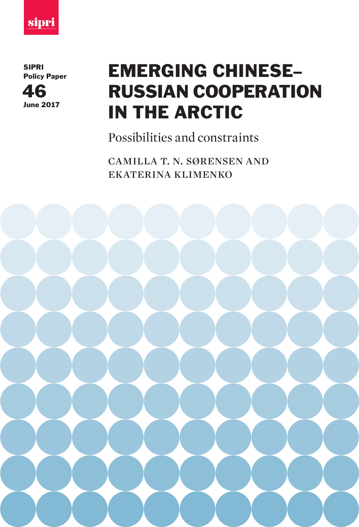

SIPRI Policy Paper



# EMERGING CHINESE– RUSSIAN COOPERATION IN THE ARCTIC

Possibilities and constraints

camilla t. n. sørensen and ekaterina klimenko

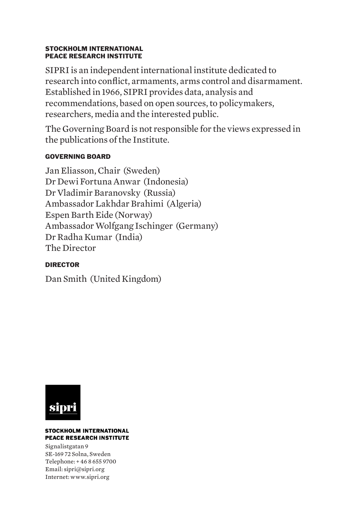#### STOCKHOLM INTERNATIONAL PEACE RESEARCH INSTITUTE

SIPRI is an independent international institute dedicated to research into conflict, armaments, arms control and disarmament. Established in 1966, SIPRI provides data, analysis and recommendations, based on open sources, to policymakers, researchers, media and the interested public.

The Governing Board is not responsible for the views expressed in the publications of the Institute.

#### GOVERNING BOARD

Jan Eliasson, Chair (Sweden) Dr Dewi Fortuna Anwar (Indonesia) Dr Vladimir Baranovsky (Russia) Ambassador Lakhdar Brahimi (Algeria) Espen Barth Eide (Norway) Ambassador Wolfgang Ischinger (Germany) Dr Radha Kumar (India) The Director

#### DIRECTOR

Dan Smith (United Kingdom)



#### **STOCKHOLM INTERNATIONAL PEACE RESEARCH INSTITUTE**

Signalistgatan 9 SE-169 72 Solna, Sweden Telephone: + 46 8 655 9700 Email: sipri@sipri.org Internet: www.sipri.org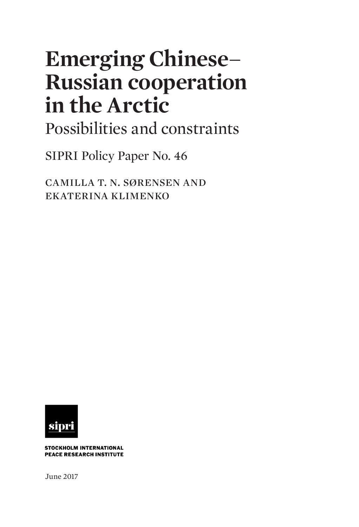# **Emerging Chinese– Russian cooperation in the Arctic**

Possibilities and constraints

SIPRI Policy Paper No. 46

camilla t. n. sørensen and ekaterina klimenko



**STOCKHOLM INTERNATIONAL PEACE RESEARCH INSTITUTE** 

June 2017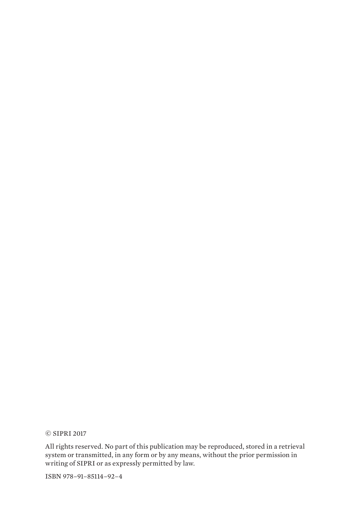© SIPRI 2017

All rights reserved. No part of this publication may be reproduced, stored in a retrieval system or transmitted, in any form or by any means, without the prior permission in writing of SIPRI or as expressly permitted by law.

ISBN 978–91–85114–92–4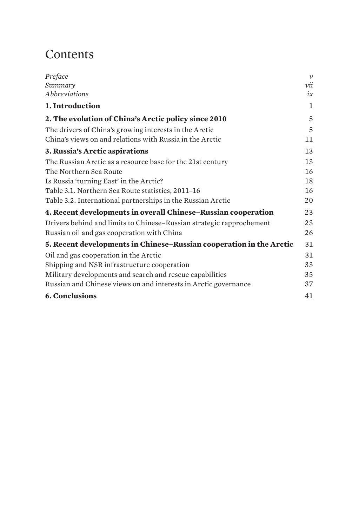# **Contents**

| Preface                                                              | $\mathcal V$ |
|----------------------------------------------------------------------|--------------|
| Summary                                                              | vii          |
| <b>Abbreviations</b>                                                 | ix           |
| 1. Introduction                                                      | 1            |
| 2. The evolution of China's Arctic policy since 2010                 | 5            |
| The drivers of China's growing interests in the Arctic               | 5            |
| China's views on and relations with Russia in the Arctic             | 11           |
| 3. Russia's Arctic aspirations                                       | 13           |
| The Russian Arctic as a resource base for the 21st century           | 13           |
| The Northern Sea Route                                               | 16           |
| Is Russia 'turning East' in the Arctic?                              | 18           |
| Table 3.1. Northern Sea Route statistics, 2011-16                    | 16           |
| Table 3.2. International partnerships in the Russian Arctic          | 20           |
| 4. Recent developments in overall Chinese–Russian cooperation        | 23           |
| Drivers behind and limits to Chinese-Russian strategic rapprochement | 23           |
| Russian oil and gas cooperation with China                           | 26           |
| 5. Recent developments in Chinese-Russian cooperation in the Arctic  | 31           |
| Oil and gas cooperation in the Arctic                                | 31           |
| Shipping and NSR infrastructure cooperation                          | 33           |
| Military developments and search and rescue capabilities             | 35           |
| Russian and Chinese views on and interests in Arctic governance      | 37           |
| <b>6. Conclusions</b>                                                | 41           |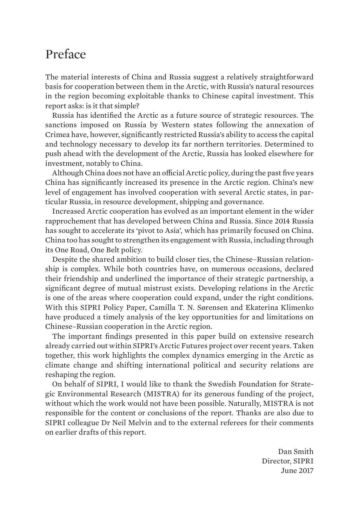## <span id="page-6-0"></span>Preface

The material interests of China and Russia suggest a relatively straightforward basis for cooperation between them in the Arctic, with Russia's natural resources in the region becoming exploitable thanks to Chinese capital investment. This report asks: is it that simple?

Russia has identified the Arctic as a future source of strategic resources. The sanctions imposed on Russia by Western states following the annexation of Crimea have, however, significantly restricted Russia's ability to access the capital and technology necessary to develop its far northern territories. Determined to push ahead with the development of the Arctic, Russia has looked elsewhere for investment, notably to China.

Although China does not have an official Arctic policy, during the past five years China has significantly increased its presence in the Arctic region. China's new level of engagement has involved cooperation with several Arctic states, in particular Russia, in resource development, shipping and governance.

Increased Arctic cooperation has evolved as an important element in the wider rapprochement that has developed between China and Russia. Since 2014 Russia has sought to accelerate its 'pivot to Asia', which has primarily focused on China. China too has sought to strengthen its engagement with Russia, including through its One Road, One Belt policy.

Despite the shared ambition to build closer ties, the Chinese–Russian relationship is complex. While both countries have, on numerous occasions, declared their friendship and underlined the importance of their strategic partnership, a significant degree of mutual mistrust exists. Developing relations in the Arctic is one of the areas where cooperation could expand, under the right conditions. With this SIPRI Policy Paper, Camilla T. N. Sørensen and Ekaterina Klimenko have produced a timely analysis of the key opportunities for and limitations on Chinese–Russian cooperation in the Arctic region.

The important findings presented in this paper build on extensive research already carried out within SIPRI's Arctic Futures project over recent years. Taken together, this work highlights the complex dynamics emerging in the Arctic as climate change and shifting international political and security relations are reshaping the region.

On behalf of SIPRI, I would like to thank the Swedish Foundation for Strategic Environmental Research (MISTRA) for its generous funding of the project, without which the work would not have been possible. Naturally, MISTRA is not responsible for the content or conclusions of the report. Thanks are also due to SIPRI colleague Dr Neil Melvin and to the external referees for their comments on earlier drafts of this report.

> Dan Smith Director, SIPRI June 2017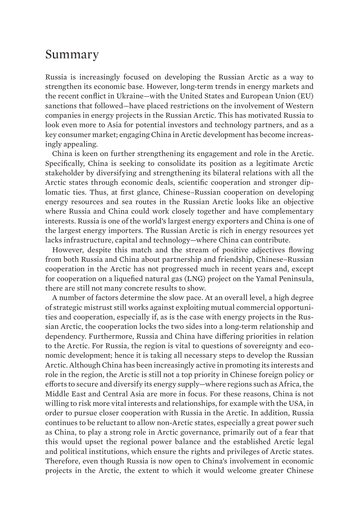### <span id="page-8-0"></span>Summary

Russia is increasingly focused on developing the Russian Arctic as a way to strengthen its economic base. However, long-term trends in energy markets and the recent conflict in Ukraine—with the United States and European Union (EU) sanctions that followed—have placed restrictions on the involvement of Western companies in energy projects in the Russian Arctic. This has motivated Russia to look even more to Asia for potential investors and technology partners, and as a key consumer market; engaging China in Arctic development has become increasingly appealing.

China is keen on further strengthening its engagement and role in the Arctic. Specifically, China is seeking to consolidate its position as a legitimate Arctic stakeholder by diversifying and strengthening its bilateral relations with all the Arctic states through economic deals, scientific cooperation and stronger diplomatic ties. Thus, at first glance, Chinese–Russian cooperation on developing energy resources and sea routes in the Russian Arctic looks like an objective where Russia and China could work closely together and have complementary interests. Russia is one of the world's largest energy exporters and China is one of the largest energy importers. The Russian Arctic is rich in energy resources yet lacks infrastructure, capital and technology—where China can contribute.

However, despite this match and the stream of positive adjectives flowing from both Russia and China about partnership and friendship, Chinese–Russian cooperation in the Arctic has not progressed much in recent years and, except for cooperation on a liquefied natural gas (LNG) project on the Yamal Peninsula, there are still not many concrete results to show.

A number of factors determine the slow pace. At an overall level, a high degree of strategic mistrust still works against exploiting mutual commercial opportunities and cooperation, especially if, as is the case with energy projects in the Russian Arctic, the cooperation locks the two sides into a long-term relationship and dependency. Furthermore, Russia and China have differing priorities in relation to the Arctic. For Russia, the region is vital to questions of sovereignty and economic development; hence it is taking all necessary steps to develop the Russian Arctic. Although China has been increasingly active in promoting its interests and role in the region, the Arctic is still not a top priority in Chinese foreign policy or efforts to secure and diversify its energy supply—where regions such as Africa, the Middle East and Central Asia are more in focus. For these reasons, China is not willing to risk more vital interests and relationships, for example with the USA, in order to pursue closer cooperation with Russia in the Arctic. In addition, Russia continues to be reluctant to allow non-Arctic states, especially a great power such as China, to play a strong role in Arctic governance, primarily out of a fear that this would upset the regional power balance and the established Arctic legal and political institutions, which ensure the rights and privileges of Arctic states. Therefore, even though Russia is now open to China's involvement in economic projects in the Arctic, the extent to which it would welcome greater Chinese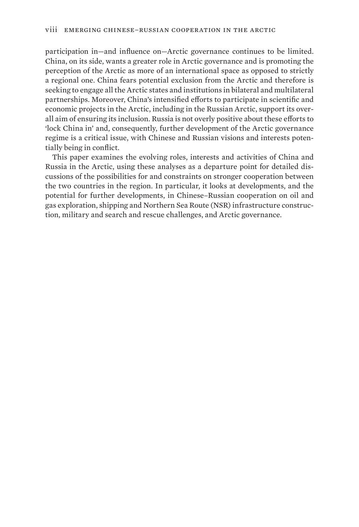participation in—and influence on—Arctic governance continues to be limited. China, on its side, wants a greater role in Arctic governance and is promoting the perception of the Arctic as more of an international space as opposed to strictly a regional one. China fears potential exclusion from the Arctic and therefore is seeking to engage all the Arctic states and institutions in bilateral and multilateral partnerships. Moreover, China's intensified efforts to participate in scientific and economic projects in the Arctic, including in the Russian Arctic, support its overall aim of ensuring its inclusion. Russia is not overly positive about these efforts to 'lock China in' and, consequently, further development of the Arctic governance regime is a critical issue, with Chinese and Russian visions and interests potentially being in conflict.

This paper examines the evolving roles, interests and activities of China and Russia in the Arctic, using these analyses as a departure point for detailed discussions of the possibilities for and constraints on stronger cooperation between the two countries in the region. In particular, it looks at developments, and the potential for further developments, in Chinese–Russian cooperation on oil and gas exploration, shipping and Northern Sea Route (NSR) infrastructure construction, military and search and rescue challenges, and Arctic governance.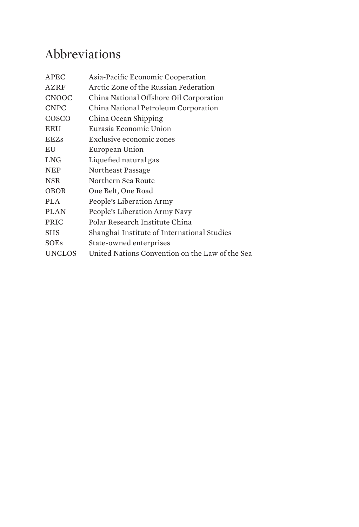# <span id="page-10-0"></span>Abbreviations

| <b>APEC</b>   | Asia-Pacific Economic Cooperation               |
|---------------|-------------------------------------------------|
| AZRF          | Arctic Zone of the Russian Federation           |
| <b>CNOOC</b>  | China National Offshore Oil Corporation         |
| <b>CNPC</b>   | China National Petroleum Corporation            |
| COSCO         | China Ocean Shipping                            |
| <b>EEU</b>    | Eurasia Economic Union                          |
| <b>EEZs</b>   | Exclusive economic zones                        |
| EU            | European Union                                  |
| <b>LNG</b>    | Liquefied natural gas                           |
| <b>NEP</b>    | Northeast Passage                               |
| <b>NSR</b>    | Northern Sea Route                              |
| <b>OBOR</b>   | One Belt, One Road                              |
| <b>PLA</b>    | People's Liberation Army                        |
| <b>PLAN</b>   | People's Liberation Army Navy                   |
| <b>PRIC</b>   | Polar Research Institute China                  |
| <b>SIIS</b>   | Shanghai Institute of International Studies     |
| <b>SOEs</b>   | State-owned enterprises                         |
| <b>UNCLOS</b> | United Nations Convention on the Law of the Sea |
|               |                                                 |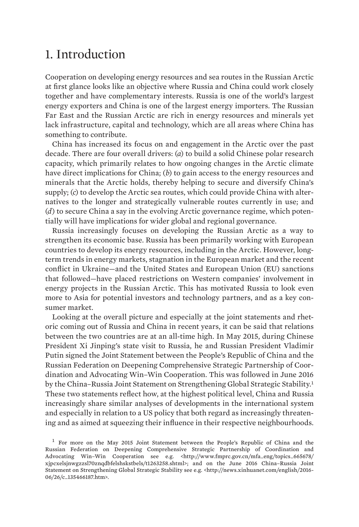## <span id="page-12-0"></span>1. Introduction

Cooperation on developing energy resources and sea routes in the Russian Arctic at first glance looks like an objective where Russia and China could work closely together and have complementary interests. Russia is one of the world's largest energy exporters and China is one of the largest energy importers. The Russian Far East and the Russian Arctic are rich in energy resources and minerals yet lack infrastructure, capital and technology, which are all areas where China has something to contribute.

China has increased its focus on and engagement in the Arctic over the past decade. There are four overall drivers: (*a*) to build a solid Chinese polar research capacity, which primarily relates to how ongoing changes in the Arctic climate have direct implications for China; (*b*) to gain access to the energy resources and minerals that the Arctic holds, thereby helping to secure and diversify China's supply; (*c*) to develop the Arctic sea routes, which could provide China with alternatives to the longer and strategically vulnerable routes currently in use; and (*d*) to secure China a say in the evolving Arctic governance regime, which potentially will have implications for wider global and regional governance.

Russia increasingly focuses on developing the Russian Arctic as a way to strengthen its economic base. Russia has been primarily working with European countries to develop its energy resources, including in the Arctic. However, longterm trends in energy markets, stagnation in the European market and the recent conflict in Ukraine—and the United States and European Union (EU) sanctions that followed—have placed restrictions on Western companies' involvement in energy projects in the Russian Arctic. This has motivated Russia to look even more to Asia for potential investors and technology partners, and as a key consumer market.

Looking at the overall picture and especially at the joint statements and rhetoric coming out of Russia and China in recent years, it can be said that relations between the two countries are at an all-time high. In May 2015, during Chinese President Xi Jinping's state visit to Russia, he and Russian President Vladimir Putin signed the Joint Statement between the People's Republic of China and the Russian Federation on Deepening Comprehensive Strategic Partnership of Coordination and Advocating Win–Win Cooperation. This was followed in June 2016 by the China–Russia Joint Statement on Strengthening Global Strategic Stability.<sup>1</sup> These two statements reflect how, at the highest political level, China and Russia increasingly share similar analyses of developments in the international system and especially in relation to a US policy that both regard as increasingly threatening and as aimed at squeezing their influence in their respective neighbourhoods.

 $<sup>1</sup>$  For more on the May 2015 Joint Statement between the People's Republic of China and the</sup> Russian Federation on Deepening Comprehensive Strategic Partnership of Coordination and Advocating Win–Win Cooperation see e.g. [<http://www.fmprc.gov.cn/mfa\\_eng/topics\\_665678/](http://www.fmprc.gov.cn/mfa_eng/topics_665678/xjpcxelsjnwgzzsl70znqdbfelshskstbels/t1263258.shtml) [xjpcxelsjnwgzzsl70znqdbfelshskstbels/t1263258.shtml>](http://www.fmprc.gov.cn/mfa_eng/topics_665678/xjpcxelsjnwgzzsl70znqdbfelshskstbels/t1263258.shtml); and on the June 2016 China–Russia Joint Statement on Strengthening Global Strategic Stability see e.g. <http://news.xinhuanet.com/english/2016- 06/26/c\_135466187.htm>.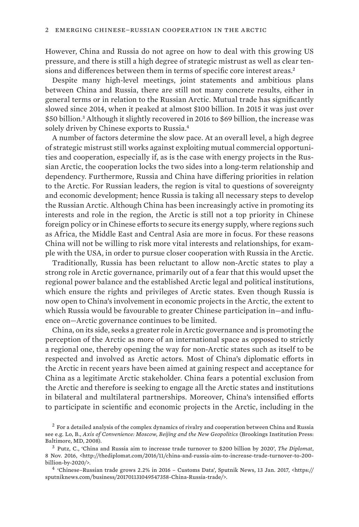However, China and Russia do not agree on how to deal with this growing US pressure, and there is still a high degree of strategic mistrust as well as clear tensions and differences between them in terms of specific core interest areas.<sup>2</sup>

Despite many high-level meetings, joint statements and ambitious plans between China and Russia, there are still not many concrete results, either in general terms or in relation to the Russian Arctic. Mutual trade has significantly slowed since 2014, when it peaked at almost \$100 billion. In 2015 it was just over \$50 billion.<sup>3</sup> Although it slightly recovered in 2016 to \$69 billion, the increase was solely driven by Chinese exports to Russia.<sup>4</sup>

A number of factors determine the slow pace. At an overall level, a high degree of strategic mistrust still works against exploiting mutual commercial opportunities and cooperation, especially if, as is the case with energy projects in the Russian Arctic, the cooperation locks the two sides into a long-term relationship and dependency. Furthermore, Russia and China have differing priorities in relation to the Arctic. For Russian leaders, the region is vital to questions of sovereignty and economic development; hence Russia is taking all necessary steps to develop the Russian Arctic. Although China has been increasingly active in promoting its interests and role in the region, the Arctic is still not a top priority in Chinese foreign policy or in Chinese efforts to secure its energy supply, where regions such as Africa, the Middle East and Central Asia are more in focus. For these reasons China will not be willing to risk more vital interests and relationships, for example with the USA, in order to pursue closer cooperation with Russia in the Arctic.

Traditionally, Russia has been reluctant to allow non-Arctic states to play a strong role in Arctic governance, primarily out of a fear that this would upset the regional power balance and the established Arctic legal and political institutions, which ensure the rights and privileges of Arctic states. Even though Russia is now open to China's involvement in economic projects in the Arctic, the extent to which Russia would be favourable to greater Chinese participation in—and influence on—Arctic governance continues to be limited.

China, on its side, seeks a greater role in Arctic governance and is promoting the perception of the Arctic as more of an international space as opposed to strictly a regional one, thereby opening the way for non-Arctic states such as itself to be respected and involved as Arctic actors. Most of China's diplomatic efforts in the Arctic in recent years have been aimed at gaining respect and acceptance for China as a legitimate Arctic stakeholder. China fears a potential exclusion from the Arctic and therefore is seeking to engage all the Arctic states and institutions in bilateral and multilateral partnerships. Moreover, China's intensified efforts to participate in scientific and economic projects in the Arctic, including in the

<sup>&</sup>lt;sup>2</sup> For a detailed analysis of the complex dynamics of rivalry and cooperation between China and Russia see e.g. Lo, B., *Axis of Convenience: Moscow, Beijing and the New Geopolitics* (Brookings Institution Press: Baltimore, MD, 2008).

<sup>3</sup>  Putz, C., 'China and Russia aim to increase trade turnover to \$200 billion by 2020', *The Diplomat*, 8 Nov. 2016, <http://thediplomat.com/2016/11/china-and-russia-aim-to-increase-trade-turnover-to-200 billion-by-2020/>.

<sup>4</sup>  'Chinese–Russian trade grows 2.2% in 2016 – Customs Data', Sputnik News, 13 Jan. 2017, [<https://](https://sputniknews.com/business/201701131049547358-china-russia-trade/) [sputniknews.com/business/201701131049547358-China-Russia-trade/](https://sputniknews.com/business/201701131049547358-china-russia-trade/)>.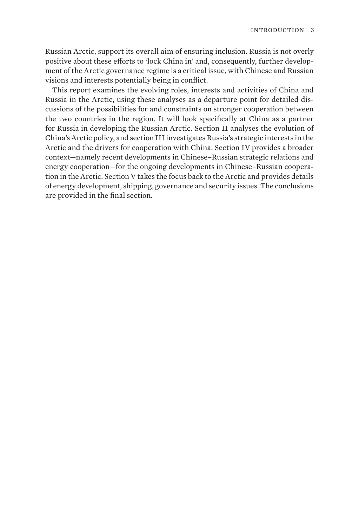Russian Arctic, support its overall aim of ensuring inclusion. Russia is not overly positive about these efforts to 'lock China in' and, consequently, further development of the Arctic governance regime is a critical issue, with Chinese and Russian visions and interests potentially being in conflict.

This report examines the evolving roles, interests and activities of China and Russia in the Arctic, using these analyses as a departure point for detailed discussions of the possibilities for and constraints on stronger cooperation between the two countries in the region. It will look specifically at China as a partner for Russia in developing the Russian Arctic. Section II analyses the evolution of China's Arctic policy, and section III investigates Russia's strategic interests in the Arctic and the drivers for cooperation with China. Section IV provides a broader context—namely recent developments in Chinese–Russian strategic relations and energy cooperation—for the ongoing developments in Chinese–Russian cooperation in the Arctic. Section V takes the focus back to the Arctic and provides details of energy development, shipping, governance and security issues. The conclusions are provided in the final section.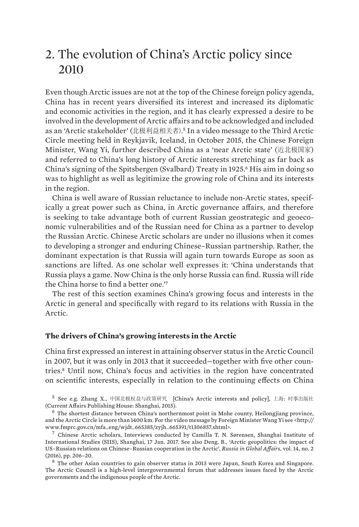## <span id="page-16-0"></span>2. The evolution of China's Arctic policy since 2010

Even though Arctic issues are not at the top of the Chinese foreign policy agenda, China has in recent years diversified its interest and increased its diplomatic and economic activities in the region, and it has clearly expressed a desire to be involved in the development of Arctic affairs and to be acknowledged and included as an 'Arctic stakeholder' (北极利益相关者). <sup>5</sup> In a video message to the Third Arctic Circle meeting held in Reykjavik, Iceland, in October 2015, the Chinese Foreign Minister, Wang Yi, further described China as a 'near Arctic state' (近北极国家) and referred to China's long history of Arctic interests stretching as far back as China's signing of the Spitsbergen (Svalbard) Treaty in 1925.<sup>6</sup> His aim in doing so was to highlight as well as legitimize the growing role of China and its interests in the region.

China is well aware of Russian reluctance to include non-Arctic states, specifically a great power such as China, in Arctic governance affairs, and therefore is seeking to take advantage both of current Russian geostrategic and geoeconomic vulnerabilities and of the Russian need for China as a partner to develop the Russian Arctic. Chinese Arctic scholars are under no illusions when it comes to developing a stronger and enduring Chinese–Russian partnership. Rather, the dominant expectation is that Russia will again turn towards Europe as soon as sanctions are lifted. As one scholar well expresses it: 'China understands that Russia plays a game. Now China is the only horse Russia can find. Russia will ride the China horse to find a better one.'<sup>7</sup>

The rest of this section examines China's growing focus and interests in the Arctic in general and specifically with regard to its relations with Russia in the Arctic.

#### **The drivers of China's growing interests in the Arctic**

China first expressed an interest in attaining observer status in the Arctic Council in 2007, but it was only in 2013 that it succeeded—together with five other countries.8 Until now, China's focus and activities in the region have concentrated on scientific interests, especially in relation to the continuing effects on China

<sup>5</sup>  See e.g. Zhang X., 中国北极权益与政策研究 [China's Arctic interests and policy], 上海: 时事出版社 (Current Affairs Publishing House: Shanghai, 2015).

 $6$  The shortest distance between China's northernmost point in Mohe county, Heilongjiang province, and the Arctic Circle is more than 1400 km. For the video message by Foreign Minister Wang Yi see <http:// www.fmprc.gov.cn/mfa\_eng/wjdt\_665385/zyjh\_665391/t1306857.shtml>.

<sup>7</sup>  Chinese Arctic scholars, Interviews conducted by Camilla T. N. Sørensen, Shanghai Institute of International Studies (SIIS), Shanghai, 17 Jan. 2017. See also Deng, B., 'Arctic geopolitics: the impact of US–Russian relations on Chinese–Russian cooperation in the Arctic', *Russia in Global Affairs*, vol. 14, no. 2 (2016), pp. 206–20.

<sup>8</sup>  The other Asian countries to gain observer status in 2013 were Japan, South Korea and Singapore. The Arctic Council is a high-level intergovernmental forum that addresses issues faced by the Arctic governments and the indigenous people of the Arctic.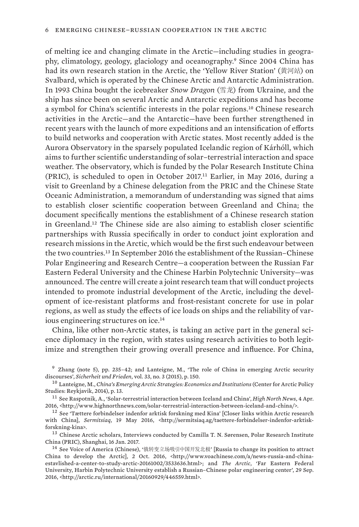of melting ice and changing climate in the Arctic—including studies in geography, climatology, geology, glaciology and oceanography.9 Since 2004 China has had its own research station in the Arctic, the 'Yellow River Station' (黄河站) on Svalbard, which is operated by the Chinese Arctic and Antarctic Administration. In 1993 China bought the icebreaker *Snow Dragon* (雪龙) from Ukraine, and the ship has since been on several Arctic and Antarctic expeditions and has become a symbol for China's scientific interests in the polar regions.10 Chinese research activities in the Arctic—and the Antarctic—have been further strengthened in recent years with the launch of more expeditions and an intensification of efforts to build networks and cooperation with Arctic states. Most recently added is the Aurora Observatory in the sparsely populated Icelandic region of Kárhóll, which aims to further scientific understanding of solar–terrestrial interaction and space weather. The observatory, which is funded by the Polar Research Institute China (PRIC), is scheduled to open in October 2017.11 Earlier, in May 2016, during a visit to Greenland by a Chinese delegation from the PRIC and the Chinese State Oceanic Administration, a memorandum of understanding was signed that aims to establish closer scientific cooperation between Greenland and China; the document specifically mentions the establishment of a Chinese research station in Greenland.12 The Chinese side are also aiming to establish closer scientific partnerships with Russia specifically in order to conduct joint exploration and research missions in the Arctic, which would be the first such endeavour between the two countries.13 In September 2016 the establishment of the Russian–Chinese Polar Engineering and Research Centre—a cooperation between the Russian Far Eastern Federal University and the Chinese Harbin Polytechnic University—was announced. The centre will create a joint research team that will conduct projects intended to promote industrial development of the Arctic, including the development of ice-resistant platforms and frost-resistant concrete for use in polar regions, as well as study the effects of ice loads on ships and the reliability of various engineering structures on ice.<sup>14</sup>

China, like other non-Arctic states, is taking an active part in the general science diplomacy in the region, with states using research activities to both legitimize and strengthen their growing overall presence and influence. For China,

<sup>9</sup> Zhang (note 5), pp. 235–42; and Lanteigne, M., 'The role of China in emerging Arctic security discourses', *Sicherheit und Frieden*, vol. 33, no. 3 (2015), p. 150.

<sup>10</sup>  Lanteigne, M., *China's Emerging Arctic Strategies: Economics and Institutions* (Center for Arctic Policy Studies: Reykjavik, 2014), p. 13.

<sup>11</sup>  See Raspotnik, A., 'Solar-terrestrial interaction between Iceland and China', *High North News*, 4 Apr. 2016, <http://www.highnorthnews.com/solar-terrestrial-interaction-between-iceland-and-china/>.

<sup>13</sup> Chinese Arctic scholars, Interviews conducted by Camilla T. N. Sørensen, Polar Research Institute China (PRIC), Shanghai, 16 Jan. 2017.

<sup>14</sup>  See Voice of America (Chinese), '俄转变立场吸引中国开发北极' [Russia to change its position to attract China to develop the Arcticl, 2 Oct. 2016, <http://www.voachinese.com/a/news-russia-and-chinaestavlished-a-center-to-study-arctic-20161002/3533636.html>; and *The Arctic*, 'Far Eastern Federal University, Harbin Polytechnic University establish a Russian–Chinese polar engineering center', 29 Sep. 2016, <http://arctic.ru/international/20160929/446559.html>.

 $12$  See 'Tættere forbindelser indenfor arktisk forskning med Kina' [Closer links within Arctic research with China], *Sermitsiaq*, 19 May 2016, <http://sermitsiaq.ag/taettere-forbindelser-indenfor-arktiskforskning-kina>.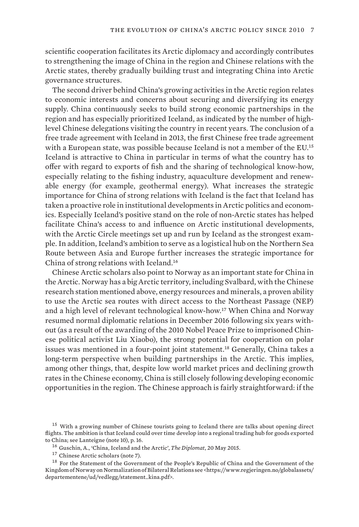scientific cooperation facilitates its Arctic diplomacy and accordingly contributes to strengthening the image of China in the region and Chinese relations with the Arctic states, thereby gradually building trust and integrating China into Arctic governance structures.

The second driver behind China's growing activities in the Arctic region relates to economic interests and concerns about securing and diversifying its energy supply. China continuously seeks to build strong economic partnerships in the region and has especially prioritized Iceland, as indicated by the number of highlevel Chinese delegations visiting the country in recent years. The conclusion of a free trade agreement with Iceland in 2013, the first Chinese free trade agreement with a European state, was possible because Iceland is not a member of the EU.<sup>15</sup> Iceland is attractive to China in particular in terms of what the country has to offer with regard to exports of fish and the sharing of technological know-how, especially relating to the fishing industry, aquaculture development and renewable energy (for example, geothermal energy). What increases the strategic importance for China of strong relations with Iceland is the fact that Iceland has taken a proactive role in institutional developments in Arctic politics and economics. Especially Iceland's positive stand on the role of non-Arctic states has helped facilitate China's access to and influence on Arctic institutional developments, with the Arctic Circle meetings set up and run by Iceland as the strongest example. In addition, Iceland's ambition to serve as a logistical hub on the Northern Sea Route between Asia and Europe further increases the strategic importance for China of strong relations with Iceland.<sup>16</sup>

Chinese Arctic scholars also point to Norway as an important state for China in the Arctic. Norway has a big Arctic territory, including Svalbard, with the Chinese research station mentioned above, energy resources and minerals, a proven ability to use the Arctic sea routes with direct access to the Northeast Passage (NEP) and a high level of relevant technological know-how.17 When China and Norway resumed normal diplomatic relations in December 2016 following six years without (as a result of the awarding of the 2010 Nobel Peace Prize to imprisoned Chinese political activist Liu Xiaobo), the strong potential for cooperation on polar issues was mentioned in a four-point joint statement.<sup>18</sup> Generally, China takes a long-term perspective when building partnerships in the Arctic. This implies, among other things, that, despite low world market prices and declining growth rates in the Chinese economy, China is still closely following developing economic opportunities in the region. The Chinese approach is fairly straightforward: if the

<sup>&</sup>lt;sup>15</sup> With a growing number of Chinese tourists going to Iceland there are talks about opening direct flights. The ambition is that Iceland could over time develop into a regional trading hub for goods exported to China; see Lanteigne (note 10), p. 16.

<sup>16</sup>  Guschin, A., 'China, Iceland and the Arctic', *The Diplomat*, 20 May 2015.

<sup>17</sup>  Chinese Arctic scholars (note 7).

<sup>&</sup>lt;sup>18</sup> For the Statement of the Government of the People's Republic of China and the Government of the Kingdom of Norway on Normalization of Bilateral Relations see <https://www.regjeringen.no/globalassets/ departementene/ud/vedlegg/statement\_kina.pdf>.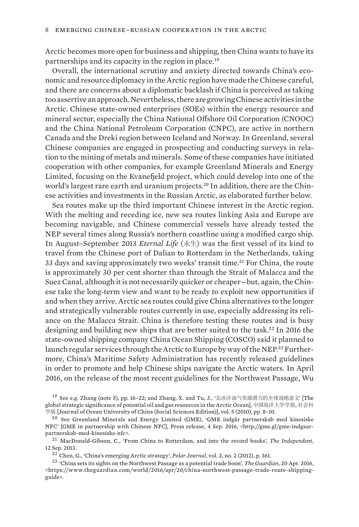Arctic becomes more open for business and shipping, then China wants to have its partnerships and its capacity in the region in place.<sup>19</sup>

Overall, the international scrutiny and anxiety directed towards China's economic and resource diplomacy in the Arctic region have made the Chinese careful, and there are concerns about a diplomatic backlash if China is perceived as taking too assertive an approach. Nevertheless, there are growing Chinese activities in the Arctic. Chinese state-owned enterprises (SOEs) within the energy resource and mineral sector, especially the China National Offshore Oil Corporation (CNOOC) and the China National Petroleum Corporation (CNPC), are active in northern Canada and the Dreki region between Iceland and Norway. In Greenland, several Chinese companies are engaged in prospecting and conducting surveys in relation to the mining of metals and minerals. Some of these companies have initiated cooperation with other companies, for example Greenland Minerals and Energy Limited, focusing on the Kvanefjeld project, which could develop into one of the world's largest rare earth and uranium projects.<sup>20</sup> In addition, there are the Chinese activities and investments in the Russian Arctic, as elaborated further below.

Sea routes make up the third important Chinese interest in the Arctic region. With the melting and receding ice, new sea routes linking Asia and Europe are becoming navigable, and Chinese commercial vessels have already tested the NEP several times along Russia's northern coastline using a modified cargo ship. In August–September 2013 *Eternal Life* (永生) was the first vessel of its kind to travel from the Chinese port of Dalian to Rotterdam in the Netherlands, taking 33 days and saving approximately two weeks' transit time.<sup>21</sup> For China, the route is approximately 30 per cent shorter than through the Strait of Malacca and the Suez Canal, although it is not necessarily quicker or cheaper—but, again, the Chinese take the long-term view and want to be ready to exploit new opportunities if and when they arrive. Arctic sea routes could give China alternatives to the longer and strategically vulnerable routes currently in use, especially addressing its reliance on the Malacca Strait. China is therefore testing these routes and is busy designing and building new ships that are better suited to the task.22 In 2016 the state-owned shipping company China Ocean Shipping (COSCO) said it planned to launch regular services through the Arctic to Europe by way of the NEP.<sup>23</sup> Furthermore, China's Maritime Safety Administration has recently released guidelines in order to promote and help Chinese ships navigate the Arctic waters. In April 2016, on the release of the most recent guidelines for the Northwest Passage, Wu

<sup>19</sup> See e.g. Zhang (note 5), pp. 16-22; and Zhang, X. and Tu, J., '北冰洋油气资源潜力的全球战略意义' [The global strategic significance of potential oil and gas resources in the Arctic Ocean], 中国海洋大学学报, 社会科 学版 [Journal of Ocean University of China (Social Sciences Edition)], vol. 5 (2010), pp. 8–10.

<sup>22</sup>  Chen, G., 'China's emerging Arctic strategy', *Polar Journal*, vol. 2, no. 2 (2012), p. 361.

<sup>20</sup>  See Greenland Minerals and Energy Limited (GME), 'GME indgår partnerskab med kinesiske NFC' [GME in partnership with Chinese NFC], Press release, 4 Sep. 2016, <http://gme.gl/gme-indgaarpartnerskab-med-kinesiske-nfc>.

<sup>21</sup>  MacDonald-Gibson, C., 'From China to Rotterdam, and into the record books', *The Independent*, 12 Sep. 2013.

<sup>23</sup>  'China sets its sights on the Northwest Passage as a potential trade boon', *The Guardian*, 20 Apr. 2016, <https://www.theguardian.com/world/2016/apr/20/china-northwest-passage-trade-route-shippingguide>.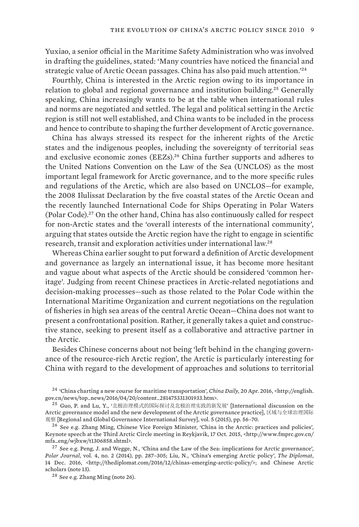Yuxiao, a senior official in the Maritime Safety Administration who was involved in drafting the guidelines, stated: 'Many countries have noticed the financial and strategic value of Arctic Ocean passages. China has also paid much attention.'<sup>24</sup>

Fourthly, China is interested in the Arctic region owing to its importance in relation to global and regional governance and institution building.25 Generally speaking, China increasingly wants to be at the table when international rules and norms are negotiated and settled. The legal and political setting in the Arctic region is still not well established, and China wants to be included in the process and hence to contribute to shaping the further development of Arctic governance.

China has always stressed its respect for the inherent rights of the Arctic states and the indigenous peoples, including the sovereignty of territorial seas and exclusive economic zones (EEZs).<sup>26</sup> China further supports and adheres to the United Nations Convention on the Law of the Sea (UNCLOS) as the most important legal framework for Arctic governance, and to the more specific rules and regulations of the Arctic, which are also based on UNCLOS—for example, the 2008 Ilulissat Declaration by the five coastal states of the Arctic Ocean and the recently launched International Code for Ships Operating in Polar Waters (Polar Code).27 On the other hand, China has also continuously called for respect for non-Arctic states and the 'overall interests of the international community', arguing that states outside the Arctic region have the right to engage in scientific research, transit and exploration activities under international law.<sup>28</sup>

Whereas China earlier sought to put forward a definition of Arctic development and governance as largely an international issue, it has become more hesitant and vague about what aspects of the Arctic should be considered 'common heritage'. Judging from recent Chinese practices in Arctic-related negotiations and decision-making processes—such as those related to the [Polar Code](http://www.imo.org/en/MediaCentre/HotTopics/polar/Documents/POLAR%20CODE%20TEXT%20AS%20ADOPTED.pdf) within the International Maritime Organization and current negotiations on the regulation of fisheries in high sea areas of the central Arctic Ocean—China does not want to present a confrontational position. Rather, it generally takes a quiet and constructive stance, seeking to present itself as a collaborative and attractive partner in the Arctic.

Besides Chinese concerns about not being 'left behind in the changing governance of the resource-rich Arctic region', the Arctic is particularly interesting for China with regard to the development of approaches and solutions to territorial

<sup>24</sup>  'China charting a new course for maritime transportation', *China Daily*, 20 Apr. 2016, <http://english. gov.cn/news/top\_news/2016/04/20/content\_281475331301933.htm>.

<sup>25</sup>  Guo, P. and Lu, Y., '北极治理模式的国际探讨及北极治理实践的新发展' [International discussion on the Arctic governance model and the new development of the Arctic governance practice], 区域与全球治理国际 观察 [Regional and Global Governance International Survey], vol. 5 (2015), pp. 56–70.

<sup>26</sup>  See e.g. Zhang Ming, Chinese Vice Foreign Minister, 'China in the Arctic: practices and policies', Keynote speech at the Third Arctic Circle meeting in Reykjavik, 17 Oct. 2015, <http://www.fmprc.gov.cn/ mfa\_eng/wjbxw/t1306858.shtml>.

 $^{27}$  See e.g. Peng, J. and Wegge, N., 'China and the Law of the Sea: implications for Arctic governance', *Polar Journal*, vol. 4, no. 2 (2014), pp. 287–305; Liu, N., 'China's emerging Arctic policy', *The Diplomat*, 14 Dec. 2016, <http://thediplomat.com/2016/12/chinas-emerging-arctic-policy/>; and Chinese Arctic scholars (note 13).

<sup>28</sup>  See e.g. Zhang Ming (note 26).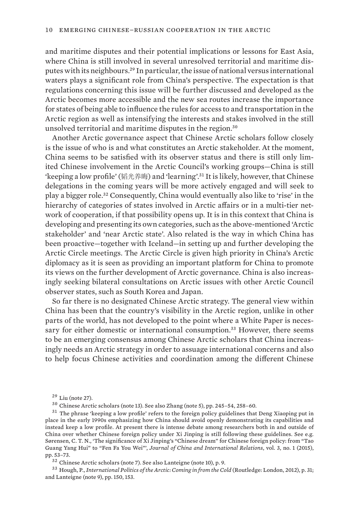and maritime disputes and their potential implications or lessons for East Asia, where China is still involved in several unresolved territorial and maritime disputes with its neighbours.29 In particular, the issue of national versus international waters plays a significant role from China's perspective. The expectation is that regulations concerning this issue will be further discussed and developed as the Arctic becomes more accessible and the new sea routes increase the importance for states of being able to influence the rules for access to and transportation in the Arctic region as well as intensifying the interests and stakes involved in the still unsolved territorial and maritime disputes in the region.<sup>30</sup>

Another Arctic governance aspect that Chinese Arctic scholars follow closely is the issue of who is and what constitutes an Arctic stakeholder. At the moment, China seems to be satisfied with its observer status and there is still only limited Chinese involvement in the Arctic Council's working groups—China is still 'keeping a low profile' (韬光养晦) and 'learning'.31 It is likely, however, that Chinese delegations in the coming years will be more actively engaged and will seek to play a bigger role.32 Consequently, China would eventually also like to 'rise' in the hierarchy of categories of states involved in Arctic affairs or in a multi-tier network of cooperation, if that possibility opens up. It is in this context that China is developing and presenting its own categories, such as the above-mentioned 'Arctic stakeholder' and 'near Arctic state'. Also related is the way in which China has been proactive—together with Iceland—in setting up and further developing the Arctic Circle meetings. The Arctic Circle is given high priority in China's Arctic diplomacy as it is seen as providing an important platform for China to promote its views on the further development of Arctic governance. China is also increasingly seeking bilateral consultations on Arctic issues with other Arctic Council observer states, such as South Korea and Japan.

So far there is no designated Chinese Arctic strategy. The general view within China has been that the country's visibility in the Arctic region, unlike in other parts of the world, has not developed to the point where a White Paper is necessary for either domestic or international consumption.33 However, there seems to be an emerging consensus among Chinese Arctic scholars that China increasingly needs an Arctic strategy in order to assuage international concerns and also to help focus Chinese activities and coordination among the different Chinese

<sup>33</sup>  Hough, P., *International Politics of the Arctic: Coming in from the Cold* (Routledge: London, 2012), p. 31; and Lanteigne (note 9), pp. 150, 153.

 $29$  Liu (note 27).

<sup>30</sup>  Chinese Arctic scholars (note 13). See also Zhang (note 5), pp. 245–54, 258–60.

<sup>31</sup>  The phrase 'keeping a low profile' refers to the foreign policy guidelines that Deng Xiaoping put in place in the early 1990s emphasizing how China should avoid openly demonstrating its capabilities and instead keep a low profile. At present there is intense debate among researchers both in and outside of China over whether Chinese foreign policy under Xi Jinping is still following these guidelines. See e.g. Sørensen, C. T. N., 'The significance of Xi Jinping's "Chinese dream" for Chinese foreign policy: from "Tao Guang Yang Hui" to "Fen Fa You Wei"', *Journal of China and International Relations*, vol. 3, no. 1 (2015), pp. 53–73.

<sup>32</sup>  Chinese Arctic scholars (note 7). See also Lanteigne (note 10), p. 9.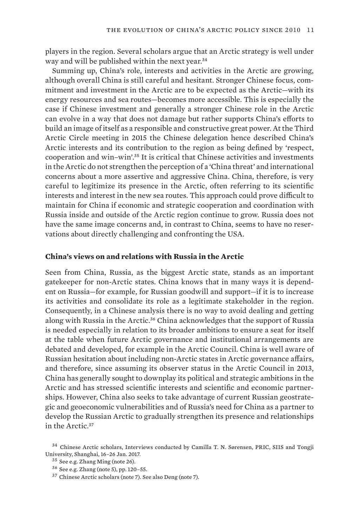<span id="page-22-0"></span>players in the region. Several scholars argue that an Arctic strategy is well under way and will be published within the next year.<sup>34</sup>

Summing up, China's role, interests and activities in the Arctic are growing, although overall China is still careful and hesitant. Stronger Chinese focus, commitment and investment in the Arctic are to be expected as the Arctic—with its energy resources and sea routes—becomes more accessible. This is especially the case if Chinese investment and generally a stronger Chinese role in the Arctic can evolve in a way that does not damage but rather supports China's efforts to build an image of itself as a responsible and constructive great power. At the Third Arctic Circle meeting in 2015 the Chinese delegation hence described China's Arctic interests and its contribution to the region as being defined by 'respect, cooperation and win–win'.35 It is critical that Chinese activities and investments in the Arctic do not strengthen the perception of a 'China threat' and international concerns about a more assertive and aggressive China. China, therefore, is very careful to legitimize its presence in the Arctic, often referring to its scientific interests and interest in the new sea routes. This approach could prove difficult to maintain for China if economic and strategic cooperation and coordination with Russia inside and outside of the Arctic region continue to grow. Russia does not have the same image concerns and, in contrast to China, seems to have no reservations about directly challenging and confronting the USA.

#### **China's views on and relations with Russia in the Arctic**

Seen from China, Russia, as the biggest Arctic state, stands as an important gatekeeper for non-Arctic states. China knows that in many ways it is dependent on Russia—for example, for Russian goodwill and support—if it is to increase its activities and consolidate its role as a legitimate stakeholder in the region. Consequently, in a Chinese analysis there is no way to avoid dealing and getting along with Russia in the Arctic.<sup>36</sup> China acknowledges that the support of Russia is needed especially in relation to its broader ambitions to ensure a seat for itself at the table when future Arctic governance and institutional arrangements are debated and developed, for example in the Arctic Council. China is well aware of Russian hesitation about including non-Arctic states in Arctic governance affairs, and therefore, since assuming its observer status in the Arctic Council in 2013, China has generally sought to downplay its political and strategic ambitions in the Arctic and has stressed scientific interests and scientific and economic partnerships. However, China also seeks to take advantage of current Russian geostrategic and geoeconomic vulnerabilities and of Russia's need for China as a partner to develop the Russian Arctic to gradually strengthen its presence and relationships in the Arctic.<sup>37</sup>

<sup>34</sup>  Chinese Arctic scholars, Interviews conducted by Camilla T. N. Sørensen, PRIC, SIIS and Tongji University, Shanghai, 16–26 Jan. 2017.

<sup>35</sup>  See e.g. Zhang Ming (note 26).

<sup>36</sup>  See e.g. Zhang (note 5), pp. 120–55.

<sup>37</sup>  Chinese Arctic scholars (note 7). See also Deng (note 7).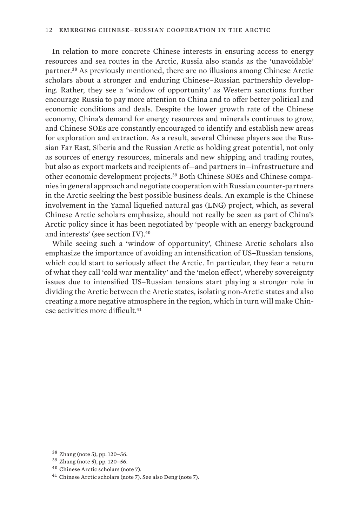In relation to more concrete Chinese interests in ensuring access to energy resources and sea routes in the Arctic, Russia also stands as the 'unavoidable' partner.38 As previously mentioned, there are no illusions among Chinese Arctic scholars about a stronger and enduring Chinese–Russian partnership developing. Rather, they see a 'window of opportunity' as Western sanctions further encourage Russia to pay more attention to China and to offer better political and economic conditions and deals. Despite the lower growth rate of the Chinese economy, China's demand for energy resources and minerals continues to grow, and Chinese SOEs are constantly encouraged to identify and establish new areas for exploration and extraction. As a result, several Chinese players see the Russian Far East, Siberia and the Russian Arctic as holding great potential, not only as sources of energy resources, minerals and new shipping and trading routes, but also as export markets and recipients of—and partners in—infrastructure and other economic development projects.39 Both Chinese SOEs and Chinese companies in general approach and negotiate cooperation with Russian counter-partners in the Arctic seeking the best possible business deals. An example is the Chinese involvement in the Yamal liquefied natural gas (LNG) project, which, as several Chinese Arctic scholars emphasize, should not really be seen as part of China's Arctic policy since it has been negotiated by 'people with an energy background and interests' (see section IV).<sup>40</sup>

While seeing such a 'window of opportunity', Chinese Arctic scholars also emphasize the importance of avoiding an intensification of US–Russian tensions, which could start to seriously affect the Arctic. In particular, they fear a return of what they call 'cold war mentality' and the 'melon effect', whereby sovereignty issues due to intensified US–Russian tensions start playing a stronger role in dividing the Arctic between the Arctic states, isolating non-Arctic states and also creating a more negative atmosphere in the region, which in turn will make Chinese activities more difficult.<sup>41</sup>

<sup>38</sup>  Zhang (note 5), pp. 120–56.

<sup>39</sup>  Zhang (note 5), pp. 120–56.

<sup>40</sup>  Chinese Arctic scholars (note 7).

<sup>41</sup>  Chinese Arctic scholars (note 7). See also Deng (note 7).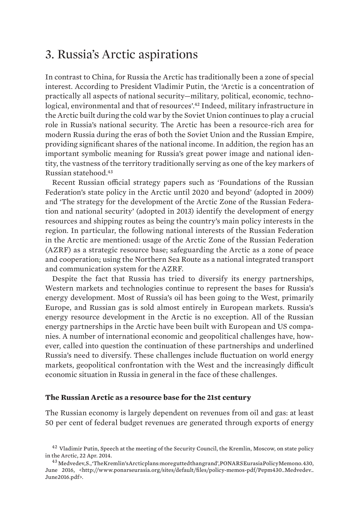### <span id="page-24-0"></span>3. Russia's Arctic aspirations

In contrast to China, for Russia the Arctic has traditionally been a zone of special interest. According to President Vladimir Putin, the 'Arctic is a concentration of practically all aspects of national security—military, political, economic, technological, environmental and that of resources'.42 Indeed, military infrastructure in the Arctic built during the cold war by the Soviet Union continues to play a crucial role in Russia's national security. The Arctic has been a resource-rich area for modern Russia during the eras of both the Soviet Union and the Russian Empire, providing significant shares of the national income. In addition, the region has an important symbolic meaning for Russia's great power image and national identity, the vastness of the territory traditionally serving as one of the key markers of Russian statehood.<sup>43</sup>

Recent Russian official strategy papers such as 'Foundations of the Russian Federation's state policy in the Arctic until 2020 and beyond' (adopted in 2009) and 'The strategy for the development of the Arctic Zone of the Russian Federation and national security' (adopted in 2013) identify the development of energy resources and shipping routes as being the country's main policy interests in the region. In particular, the following national interests of the Russian Federation in the Arctic are mentioned: usage of the Arctic Zone of the Russian Federation (AZRF) as a strategic resource base; safeguarding the Arctic as a zone of peace and cooperation; using the Northern Sea Route as a national integrated transport and communication system for the AZRF.

Despite the fact that Russia has tried to diversify its energy partnerships, Western markets and technologies continue to represent the bases for Russia's energy development. Most of Russia's oil has been going to the West, primarily Europe, and Russian gas is sold almost entirely in European markets. Russia's energy resource development in the Arctic is no exception. All of the Russian energy partnerships in the Arctic have been built with European and US companies. A number of international economic and geopolitical challenges have, however, called into question the continuation of these partnerships and underlined Russia's need to diversify. These challenges include fluctuation on world energy markets, geopolitical confrontation with the West and the increasingly difficult economic situation in Russia in general in the face of these challenges.

#### **The Russian Arctic as a resource base for the 21st century**

The Russian economy is largely dependent on revenues from oil and gas: at least 50 per cent of federal budget revenues are generated through exports of energy

<sup>42</sup>  Vladimir Putin, Speech at the meeting of the Security Council, the Kremlin, Moscow, on state policy in the Arctic, 22 Apr. 2014.

<sup>&</sup>lt;sup>43</sup> Medvedev, S., 'The Kremlin's Arctic plans: more gutted than grand', PONARS Eurasia Policy Memono. 430, June 2016, <http://www.ponarseurasia.org/sites/default/files/policy-memos-pdf/Pepm430\_Medvedev\_ June2016.pdf>.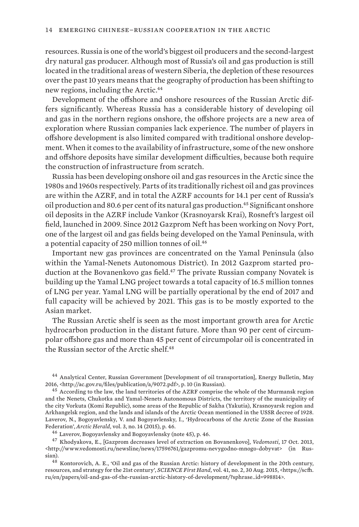resources. Russia is one of the world's biggest oil producers and the second-largest dry natural gas producer. Although most of Russia's oil and gas production is still located in the traditional areas of western Siberia, the depletion of these resources over the past 10 years means that the geography of production has been shifting to new regions, including the Arctic.<sup>44</sup>

Development of the offshore and onshore resources of the Russian Arctic differs significantly. Whereas Russia has a considerable history of developing oil and gas in the northern regions onshore, the offshore projects are a new area of exploration where Russian companies lack experience. The number of players in offshore development is also limited compared with traditional onshore development. When it comes to the availability of infrastructure, some of the new onshore and offshore deposits have similar development difficulties, because both require the construction of infrastructure from scratch.

Russia has been developing onshore oil and gas resources in the Arctic since the 1980s and 1960s respectively. Parts of its traditionally richest oil and gas provinces are within the AZRF, and in total the AZRF accounts for 14.1 per cent of Russia's oil production and 80.6 per cent of its natural gas production.45 Significant onshore oil deposits in the AZRF include Vankor (Krasnoyarsk Krai), Rosneft's largest oil field, launched in 2009. Since 2012 Gazprom Neft has been working on Novy Port, one of the largest oil and gas fields being developed on the Yamal Peninsula, with a potential capacity of 250 million tonnes of oil.<sup>46</sup>

Important new gas provinces are concentrated on the Yamal Peninsula (also within the Yamal-Nenets Autonomous District). In 2012 Gazprom started production at the Bovanenkovo gas field.47 The private Russian company Novatek is building up the Yamal LNG project towards a total capacity of 16.5 million tonnes of LNG per year. Yamal LNG will be partially operational by the end of 2017 and full capacity will be achieved by 2021. This gas is to be mostly exported to the Asian market.

The Russian Arctic shelf is seen as the most important growth area for Arctic hydrocarbon production in the distant future. More than 90 per cent of circumpolar offshore gas and more than 45 per cent of circumpolar oil is concentrated in the Russian sector of the Arctic shelf.<sup>48</sup>

<sup>44</sup>  Analytical Center, Russian Government [Development of oil transportation], Energy Bulletin, May 2016, <http://ac.gov.ru/files/publication/a/9072.pdf>, p. 10 (in Russian).

<sup>46</sup>  Laverov, Bogoyavlensky and Bogoyavlensky (note 45), p. 46.

<sup>47</sup>  Khodyakova, E., [Gazprom decreases level of extraction on Bovanenkovo], *Vedomosti*, 17 Oct. 2013, <http://www.vedomosti.ru/newsline/news/17596761/gazpromu-nevygodno-mnogo-dobyvat> (in Russian).

<sup>48</sup>  Kontorovich, A. E., 'Oil and gas of the Russian Arctic: history of development in the 20th century, resources, and strategy for the 21st century', *SCIENCE First Hand*, vol. 41, no. 2, 30 Aug. 2015, <https://scfh. ru/en/papers/oil-and-gas-of-the-russian-arctic-history-of-development/?sphrase\_id=998814>.

<sup>&</sup>lt;sup>45</sup> According to the law, the land territories of the AZRF comprise the whole of the Murmansk region and the Nenets, Chukotka and Yamal-Nenets Autonomous Districts, the territory of the municipality of the city Vorkuta (Komi Republic), some areas of the Republic of Sakha (Yakutia), Krasnoyarsk region and Arkhangelsk region, and the lands and islands of the Arctic Ocean mentioned in the USSR decree of 1928. Laverov, N., Bogoyavlensky, V. and Bogoyavlensky, I., 'Hydrocarbons of the Arctic Zone of the Russian Federation', *Arctic Herald*, vol. 3, no. 14 (2015), p. 46.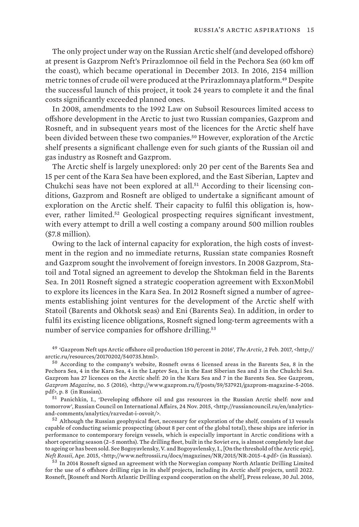The only project under way on the Russian Arctic shelf (and developed offshore) at present is Gazprom Neft's Prirazlomnoe oil field in the Pechora Sea (60 km off the coast), which became operational in December 2013. In 2016, 2154 million metric tonnes of crude oil were produced at the Prirazlomnaya platform.49 Despite the successful launch of this project, it took 24 years to complete it and the final costs significantly exceeded planned ones.

In 2008, amendments to the 1992 Law on Subsoil Resources limited access to offshore development in the Arctic to just two Russian companies, Gazprom and Rosneft, and in subsequent years most of the licences for the Arctic shelf have been divided between these two companies.50 However, exploration of the Arctic shelf presents a significant challenge even for such giants of the Russian oil and gas industry as Rosneft and Gazprom.

The Arctic shelf is largely unexplored: only 20 per cent of the Barents Sea and 15 per cent of the Kara Sea have been explored, and the East Siberian, Laptev and Chukchi seas have not been explored at all.51 According to their licensing conditions, Gazprom and Rosneft are obliged to undertake a significant amount of exploration on the Arctic shelf. Their capacity to fulfil this obligation is, however, rather limited.<sup>52</sup> Geological prospecting requires significant investment, with every attempt to drill a well costing a company around 500 million roubles (\$7.8 million).

Owing to the lack of internal capacity for exploration, the high costs of investment in the region and no immediate returns, Russian state companies Rosneft and Gazprom sought the involvement of foreign investors. In 2008 Gazprom, Statoil and Total signed an agreement to develop the Shtokman field in the Barents Sea. In 2011 Rosneft signed a strategic cooperation agreement with ExxonMobil to explore its licences in the Kara Sea. In 2012 Rosneft signed a number of agreements establishing joint ventures for the development of the Arctic shelf with Statoil (Barents and Okhotsk seas) and Eni (Barents Sea). In addition, in order to fulfil its existing licence obligations, Rosneft signed long-term agreements with a number of service companies for offshore drilling.<sup>53</sup>

<sup>49</sup>  'Gazprom Neft ups Arctic offshore oil production 150 percent in 2016', *The Arctic*, 2 Feb. 2017, <http:// arctic.ru/resources/20170202/540735.html>.

<sup>50</sup>  According to the company's website, Rosneft owns 6 licensed areas in the Barents Sea, 8 in the Pechora Sea, 4 in the Kara Sea, 4 in the Laptev Sea, 1 in the East Siberian Sea and 3 in the Chukchi Sea. Gazprom has 27 licences on the Arctic shelf: 20 in the Kara Sea and 7 in the Barents Sea. See Gazprom, *Gazprom Magazine*, no. 5 (2016), <http://www.gazprom.ru/f/posts/59/537921/gazprom-magazine-5-2016. pdf>, p. 8 (in Russian).

<sup>51</sup>  Panichkin, I., 'Developing offshore oil and gas resources in the Russian Arctic shelf: now and tomorrow', Russian Council on International Affairs, 24 Nov. 2015, <http://russiancouncil.ru/en/analyticsand-comments/analytics/razvedat-i-osvoit/>.

<sup>52</sup>  Although the Russian geophysical fleet, necessary for exploration of the shelf, consists of 13 vessels capable of conducting seismic prospecting (about 8 per cent of the global total), these ships are inferior in performance to contemporary foreign vessels, which is especially important in Arctic conditions with a short operating season (2–5 months). The drilling fleet, built in the Soviet era, is almost completely lost due to ageing or has been sold. See Bogoyavlensky, V. and Bogoyavlensky, I., [On the threshold of the Arctic epic], *Neft Rossii*, Apr. 2015, <http://www.neftrossii.ru/docs/magazines/NR/2015/NR-2015-4.pdf> (in Russian).

<sup>53</sup>  In 2014 Rosneft signed an agreement with the Norwegian company North Atlantic Drilling Limited for the use of 6 offshore drilling rigs in its shelf projects, including its Arctic shelf projects, until 2022. Rosneft, [Rosneft and North Atlantic Drilling expand cooperation on the shelf], Press release, 30 Jul. 2016,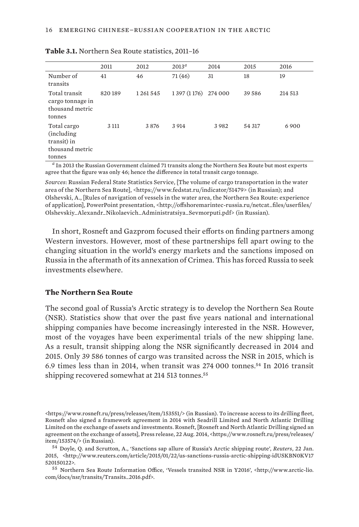|                                                                                                                                                                                                                                                                                              | 2011    | 2012    | $2013^{\circ}$                                                                                                                                                                                                                 | 2014    | 2015   | 2016    |
|----------------------------------------------------------------------------------------------------------------------------------------------------------------------------------------------------------------------------------------------------------------------------------------------|---------|---------|--------------------------------------------------------------------------------------------------------------------------------------------------------------------------------------------------------------------------------|---------|--------|---------|
| Number of<br>transits                                                                                                                                                                                                                                                                        | 41      | 46      | 71(46)                                                                                                                                                                                                                         | 31      | 18     | 19      |
| Total transit<br>cargo tonnage in<br>thousand metric<br>tonnes                                                                                                                                                                                                                               | 820189  | 1261545 | 1 397 (1 176)                                                                                                                                                                                                                  | 274 000 | 39 586 | 214 513 |
| Total cargo<br>(including)<br>transit) in<br>thousand metric<br>tonnes                                                                                                                                                                                                                       | 3 1 1 1 | 3876    | 3 9 14                                                                                                                                                                                                                         | 3982    | 54 317 | 6900    |
| $\sigma$ - - - - $\sim$ - $\sim$ - $\sim$ - $\sim$ - $\sim$ - $\sim$ - $\sim$ - $\sim$ - $\sim$ - $\sim$ - $\sim$ - $\sim$ - $\sim$ - $\sim$ - $\sim$ - $\sim$ - $\sim$ - $\sim$ - $\sim$ - $\sim$ - $\sim$ - $\sim$ - $\sim$ - $\sim$ - $\sim$ - $\sim$ - $\sim$ - $\sim$ - $\sim$ - $\sim$ | $\sim$  |         | the second contract of the second contract of the second contract of the second contract of the second contract of the second contract of the second contract of the second contract of the second contract of the second cont |         |        |         |

<span id="page-27-0"></span>

| Table 3.1. Northern Sea Route statistics, 2011-16 |  |
|---------------------------------------------------|--|
|---------------------------------------------------|--|

*<sup>a</sup>* In 2013 the Russian Government claimed 71 transits along the Northern Sea Route but most experts agree that the figure was only 46; hence the difference in total transit cargo tonnage.

*Sources*: Russian Federal State Statistics Service, [The volume of cargo transportation in the water area of the Northern Sea Route], <https://www.fedstat.ru/indicator/51479> (in Russian); and Olshevski, A., [Rules of navigation of vessels in the water area, the Northern Sea Route: experience of application], PowerPoint presentation, <http://offshoremarintec-russia.ru/netcat\_files/userfiles/ Olshevskiy\_Alexandr\_Nikolaevich\_Administratsiya\_Sevmorputi.pdf> (in Russian).

In short, Rosneft and Gazprom focused their efforts on finding partners among Western investors. However, most of these partnerships fell apart owing to the changing situation in the world's energy markets and the sanctions imposed on Russia in the aftermath of its annexation of Crimea. This has forced Russia to seek investments elsewhere.

#### **The Northern Sea Route**

The second goal of Russia's Arctic strategy is to develop the Northern Sea Route (NSR). Statistics show that over the past five years national and international shipping companies have become increasingly interested in the NSR. However, most of the voyages have been experimental trials of the new shipping lane. As a result, transit shipping along the NSR significantly decreased in 2014 and 2015. Only 39 586 tonnes of cargo was transited across the NSR in 2015, which is 6.9 times less than in 2014, when transit was  $274\,000$  tonnes.<sup>54</sup> In 2016 transit shipping recovered somewhat at 214 513 tonnes.<sup>55</sup>

<https://www.rosneft.ru/press/releases/item/153551/> (in Russian). To increase access to its drilling fleet, Rosneft also signed a framework agreement in 2014 with Seadrill Limited and North Atlantic Drilling Limited on the exchange of assets and investments. Rosneft, [Rosneft and North Atlantic Drilling signed an agreement on the exchange of assets], Press release, 22 Aug. 2014, <https://www.rosneft.ru/press/releases/ item/153574/> (in Russian).

<sup>54</sup>  Doyle, Q. and Scrutton, A., 'Sanctions sap allure of Russia's Arctic shipping route', *Reuters*, 22 Jan. 2015, <http://www.reuters.com/article/2015/01/22/us-sanctions-russia-arctic-shipping-idUSKBN0KV17 520150122>.

<sup>55</sup>  Northern Sea Route Information Office, 'Vessels transited NSR in Y2016', <http://www.arctic-lio. com/docs/nsr/transits/Transits\_2016.pdf>.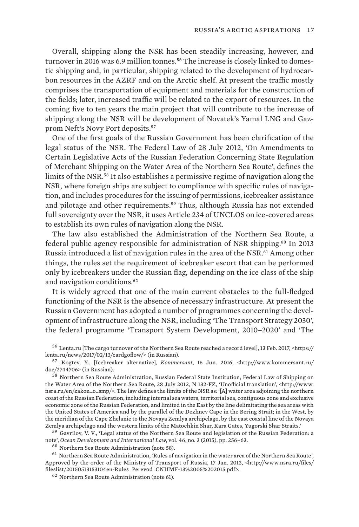Overall, shipping along the NSR has been steadily increasing, however, and turnover in 2016 was 6.9 million tonnes.<sup>56</sup> The increase is closely linked to domestic shipping and, in particular, shipping related to the development of hydrocarbon resources in the AZRF and on the Arctic shelf. At present the traffic mostly comprises the transportation of equipment and materials for the construction of the fields; later, increased traffic will be related to the export of resources. In the coming five to ten years the main project that will contribute to the increase of shipping along the NSR will be development of Novatek's Yamal LNG and Gazprom Neft's Novy Port deposits.<sup>57</sup>

One of the first goals of the Russian Government has been clarification of the legal status of the NSR. The Federal Law of 28 July 2012, 'On Amendments to Certain Legislative Acts of the Russian Federation Concerning State Regulation of Merchant Shipping on the Water Area of the Northern Sea Route', defines the limits of the NSR.58 It also establishes a permissive regime of navigation along the NSR, where foreign ships are subject to compliance with specific rules of navigation, and includes procedures for the issuing of permissions, icebreaker assistance and pilotage and other requirements.59 Thus, although Russia has not extended full sovereignty over the NSR, it uses Article 234 of UNCLOS on ice-covered areas to establish its own rules of navigation along the NSR.

The law also established the Administration of the Northern Sea Route, a federal public agency responsible for administration of NSR shipping.60 In 2013 Russia introduced a list of navigation rules in the area of the NSR.<sup>61</sup> Among other things, the rules set the requirement of icebreaker escort that can be performed only by icebreakers under the Russian flag, depending on the ice class of the ship and navigation conditions.<sup>62</sup>

It is widely agreed that one of the main current obstacles to the full-fledged functioning of the NSR is the absence of necessary infrastructure. At present the Russian Government has adopted a number of programmes concerning the development of infrastructure along the NSR, including 'The Transport Strategy 2030', the federal programme 'Transport System Development, 2010–2020' and 'The

<sup>56</sup>  Lenta.ru [The cargo turnover of the Northern Sea Route reached a record level], 13 Feb. 2017, <https:// lenta.ru/news/2017/02/13/cardgoflow/> (in Russian).

<sup>57</sup>  Kogtev, Y., [Icebreaker alternative], *Kommersant*, 16 Jun. 2016, <http://www.kommersant.ru/ doc/2744706> (in Russian).

<sup>58</sup>  Northern Sea Route Administration, Russian Federal State Institution, Federal Law of Shipping on the Water Area of the Northern Sea Route, 28 July 2012, N 132-FZ, 'Unofficial translation', <http://www. nsra.ru/en/zakon\_o\_smp/>. The law defines the limits of the NSR as: '[A] water area adjoining the northern coast of the Russian Federation, including internal sea waters, territorial sea, contiguous zone and exclusive economic zone of the Russian Federation, and limited in the East by the line delimitating the sea areas with the United States of America and by the parallel of the Dezhnev Cape in the Bering Strait; in the West, by the meridian of the Cape Zhelanie to the Novaya Zemlya archipelago, by the east coastal line of the Novaya Zemlya archipelago and the western limits of the Matochkin Shar, Kara Gates, Yugorski Shar Straits.'

<sup>59</sup>  Gavrilov, V. V., 'Legal status of the Northern Sea Route and legislation of the Russian Federation: a note', *Ocean Development and International Law*, vol. 46, no. 3 (2015), pp. 256–63.

<sup>60</sup>  Northern Sea Route Administration (note 58).

<sup>61</sup>  Northern Sea Route Administration, 'Rules of navigation in the water area of the Northern Sea Route', Approved by the order of the Ministry of Transport of Russia, 17 Jan. 2013, <http://www.nsra.ru/files/ fileslist/20150513153104en-Rules\_Perevod\_CNIIMF-13%2005%202015.pdf>.

<sup>62</sup>  Northern Sea Route Administration (note 61).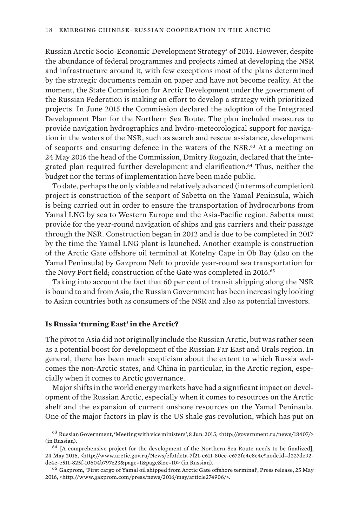<span id="page-29-0"></span>Russian Arctic Socio-Economic Development Strategy' of 2014. However, despite the abundance of federal programmes and projects aimed at developing the NSR and infrastructure around it, with few exceptions most of the plans determined by the strategic documents remain on paper and have not become reality. At the moment, the State Commission for Arctic Development under the government of the Russian Federation is making an effort to develop a strategy with prioritized projects. In June 2015 the Commission declared the adoption of the Integrated Development Plan for the Northern Sea Route. The plan included measures to provide navigation hydrographics and hydro-meteorological support for navigation in the waters of the NSR, such as search and rescue assistance, development of seaports and ensuring defence in the waters of the NSR.<sup>63</sup> At a meeting on 24 May 2016 the head of the Commission, Dmitry Rogozin, declared that the integrated plan required further development and clarification.64 Thus, neither the budget nor the terms of implementation have been made public.

To date, perhaps the only viable and relatively advanced (in terms of completion) project is construction of the seaport of Sabetta on the Yamal Peninsula, which is being carried out in order to ensure the transportation of hydrocarbons from Yamal LNG by sea to Western Europe and the Asia-Pacific region. Sabetta must provide for the year-round navigation of ships and gas carriers and their passage through the NSR. Construction began in 2012 and is due to be completed in 2017 by the time the Yamal LNG plant is launched. Another example is construction of the Arctic Gate offshore oil terminal at Kotelny Cape in Ob Bay (also on the Yamal Peninsula) by Gazprom Neft to provide year-round sea transportation for the Novy Port field; construction of the Gate was completed in 2016.<sup>65</sup>

Taking into account the fact that 60 per cent of transit shipping along the NSR is bound to and from Asia, the Russian Government has been increasingly looking to Asian countries both as consumers of the NSR and also as potential investors.

#### **Is Russia 'turning East' in the Arctic?**

The pivot to Asia did not originally include the Russian Arctic, but was rather seen as a potential boost for development of the Russian Far East and Urals region. In general, there has been much scepticism about the extent to which Russia welcomes the non-Arctic states, and China in particular, in the Arctic region, especially when it comes to Arctic governance.

Major shifts in the world energy markets have had a significant impact on development of the Russian Arctic, especially when it comes to resources on the Arctic shelf and the expansion of current onshore resources on the Yamal Peninsula. One of the major factors in play is the US shale gas revolution, which has put on

<sup>63</sup>  Russian Government, 'Meeting with vice ministers', 8 Jun. 2015, [<http://government.ru/news/18407/>](http://government.ru/news/18407/) (in Russian).

<sup>&</sup>lt;sup>64</sup> [A comprehensive project for the development of the Northern Sea Route needs to be finalized], 24 May 2016, [<http://www.arctic.gov.ru/News/efb1de1a-7f21-e611-80cc-e672fe4e8e4e?nodeId=d227de92](http://www.arctic.gov.ru/News/efb1de1a-7f21-e611-80cc-e672fe4e8e4e?nodeId=d227de92-dc4c-e511-825f-10604b797c23&page=1&pageSize=10) [dc4c-e511-825f-10604b797c23&page=1&pageSize=10>](http://www.arctic.gov.ru/News/efb1de1a-7f21-e611-80cc-e672fe4e8e4e?nodeId=d227de92-dc4c-e511-825f-10604b797c23&page=1&pageSize=10) (in Russian).

<sup>65</sup>  Gazprom, 'First cargo of Yamal oil shipped from Arctic Gate offshore terminal', Press release, 25 May 2016, <http://www.gazprom.com/press/news/2016/may/article274906/>.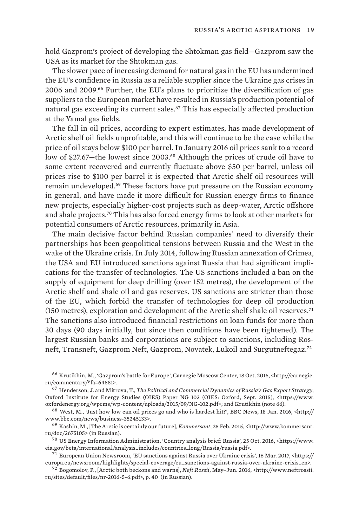hold Gazprom's project of developing the Shtokman gas field—Gazprom saw the USA as its market for the Shtokman gas.

The slower pace of increasing demand for natural gas in the EU has undermined the EU's confidence in Russia as a reliable supplier since the Ukraine gas crises in 2006 and 2009.66 Further, the EU's plans to prioritize the diversification of gas suppliers to the European market have resulted in Russia's production potential of natural gas exceeding its current sales.67 This has especially affected production at the Yamal gas fields.

The fall in oil prices, according to expert estimates, has made development of Arctic shelf oil fields unprofitable, and this will continue to be the case while the price of oil stays below \$100 per barrel. In January 2016 oil prices sank to a record low of \$27.67—the lowest since 2003.<sup>68</sup> Although the prices of crude oil have to some extent recovered and currently fluctuate above \$50 per barrel, unless oil prices rise to \$100 per barrel it is expected that Arctic shelf oil resources will remain undeveloped.69 These factors have put pressure on the Russian economy in general, and have made it more difficult for Russian energy firms to finance new projects, especially higher-cost projects such as deep-water, Arctic offshore and shale projects.70 This has also forced energy firms to look at other markets for potential consumers of Arctic resources, primarily in Asia.

The main decisive factor behind Russian companies' need to diversify their partnerships has been geopolitical tensions between Russia and the West in the wake of the Ukraine crisis. In July 2014, following Russian annexation of Crimea, the USA and EU introduced sanctions against Russia that had significant implications for the transfer of technologies. The US sanctions included a ban on the supply of equipment for deep drilling (over 152 metres), the development of the Arctic shelf and shale oil and gas reserves. US sanctions are stricter than those of the EU, which forbid the transfer of technologies for deep oil production (150 metres), exploration and development of the Arctic shelf shale oil reserves.<sup>71</sup> The sanctions also introduced financial restrictions on loan funds for more than 30 days (90 days initially, but since then conditions have been tightened). The largest Russian banks and corporations are subject to sanctions, including Rosneft, Transneft, Gazprom Neft, Gazprom, Novatek, Lukoil and Surgutneftegaz.<sup>72</sup>

<sup>66</sup>  Krutikhin, M., 'Gazprom's battle for Europe', Carnegie Moscow Center, 18 Oct. 2016, [<http://carnegie.](http://carnegie.ru/commentary/?fa=64881) [ru/commentary/?fa=64881](http://carnegie.ru/commentary/?fa=64881)>.

<sup>67</sup>  Henderson, J. and Mitrova, T., *The Political and Commercial Dynamics of Russia's Gas Export Strategy*, Oxford Institute for Energy Studies (OIES) Paper NG 102 (OIES: Oxford, Sept. 2015), <https://www. oxfordenergy.org/wpcms/wp-content/uploads/2015/09/NG-102.pdf>; and Krutikhin (note 66).

<sup>68</sup>  West, M., 'Just how low can oil prices go and who is hardest hit?', BBC News, 18 Jan. 2016, <http:// www.bbc.com/news/business-35245133>.

<sup>69</sup>  Kashin, M., [The Arctic is certainly our future], *Kommersant*, 25 Feb. 2015, <http://www.kommersant. ru/doc/2675105> (in Russian).

<sup>70</sup>  US Energy Information Administration, 'Country analysis brief: Russia', 25 Oct. 2016, <https://www. eia.gov/beta/international/analysis\_includes/countries\_long/Russia/russia.pdf>.

<sup>71</sup>  European Union Newsroom, 'EU sanctions against Russia over Ukraine crisis', 16 Mar. 2017, <https:// europa.eu/newsroom/highlights/special-coverage/eu\_sanctions-against-russia-over-ukraine-crisis\_en>.

<sup>72</sup>  Bogomolov, P., [Arctic both beckons and warns], *Neft Rossii*, May–Jun. 2016, <http://www.neftrossii. ru/sites/default/files/nr-2016-5-6.pdf>, p. 40 (in Russian).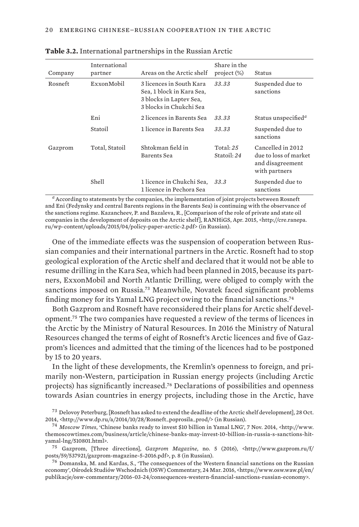| Company | International<br>partner | Areas on the Arctic shelf                                                                                   | Share in the<br>project (%) | Status                                                                          |
|---------|--------------------------|-------------------------------------------------------------------------------------------------------------|-----------------------------|---------------------------------------------------------------------------------|
| Rosneft | Exxon Mobil              | 3 licences in South Kara<br>Sea, 1 block in Kara Sea,<br>3 blocks in Laptev Sea,<br>3 blocks in Chukchi Sea | 33.33                       | Suspended due to<br>sanctions                                                   |
|         | Eni                      | 2 licences in Barents Sea                                                                                   | 33.33                       | Status unspecified <sup>a</sup>                                                 |
|         | Statoil                  | 1 licence in Barents Sea                                                                                    | 33.33                       | Suspended due to<br>sanctions                                                   |
| Gazprom | Total, Statoil           | Shtokman field in<br>Barents Sea                                                                            | Total: $25$<br>Statoil: 24  | Cancelled in 2012<br>due to loss of market<br>and disagreement<br>with partners |
|         | <b>Shell</b>             | 1 licence in Chukchi Sea,<br>1 licence in Pechora Sea                                                       | 33.3                        | Suspended due to<br>sanctions                                                   |

<span id="page-31-0"></span>**Table 3.2.** International partnerships in the Russian Arctic

*a* According to statements by the companies, the implementation of joint projects between Rosneft and Eni (Fedynsky and central Barents regions in the Barents Sea) is continuing with the observance of the sanctions regime. Kazancheev, P. and Bazaleva, R., [Comparison of the role of private and state oil companies in the development of deposits on the Arctic shelf], RANHiGS, Apr. 2015, <http://cre.ranepa. ru/wp-content/uploads/2015/04/policy-paper-arctic-2.pdf> (in Russian).

One of the immediate effects was the suspension of cooperation between Russian companies and their international partners in the Arctic. Rosneft had to stop geological exploration of the Arctic shelf and declared that it would not be able to resume drilling in the Kara Sea, which had been planned in 2015, because its partners, ExxonMobil and North Atlantic Drilling, were obliged to comply with the sanctions imposed on Russia.73 Meanwhile, Novatek faced significant problems finding money for its Yamal LNG project owing to the financial sanctions.<sup>74</sup>

Both Gazprom and Rosneft have reconsidered their plans for Arctic shelf development.75 The two companies have requested a review of the terms of licences in the Arctic by the Ministry of Natural Resources. In 2016 the Ministry of Natural Resources changed the terms of eight of Rosneft's Arctic licences and five of Gazprom's licences and admitted that the timing of the licences had to be postponed by 15 to 20 years.

In the light of these developments, the Kremlin's openness to foreign, and primarily non-Western, participation in Russian energy projects (including Arctic projects) has significantly increased.76 Declarations of possibilities and openness towards Asian countries in energy projects, including those in the Arctic, have

<sup>75</sup>  Gazprom, [Three directions], *Gazprom Magazine*, no. 5 (2016), <http://www.gazprom.ru/f/ posts/59/537921/gazprom-magazine-5-2016.pdf>, p. 8 (in Russian).

<sup>76</sup>  Domanska, M. and Kardas, S., 'The consequences of the Western financial sanctions on the Russian economy', Ośrodek Studiów Wschodnich (OSW) Commentary, 24 Mar. 2016, <https://www.osw.waw.pl/en/ publikacje/osw-commentary/2016-03-24/consequences-western-financial-sanctions-russian-economy>.

<sup>73</sup>  Delovoy Peterburg, [Rosneft has asked to extend the deadline of the Arctic shelf development], 28 Oct. 2014, <http://www.dp.ru/a/2014/10/28/Rosneft\_poprosila\_prod/> (in Russian).

<sup>74</sup>  *Moscow Times*, 'Chinese banks ready to invest \$10 billion in Yamal LNG', 7 Nov. 2014, <http://www. themoscowtimes.com/business/article/chinese-banks-may-invest-10-billion-in-russia-s-sanctions-hityamal-lng/510801.html>.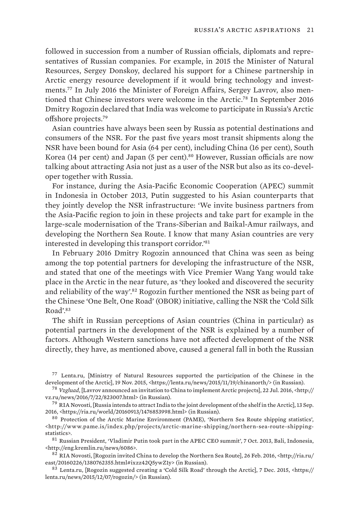followed in succession from a number of Russian officials, diplomats and representatives of Russian companies. For example, in 2015 the Minister of Natural Resources, Sergey Donskoy, declared his support for a Chinese partnership in Arctic energy resource development if it would bring technology and investments.77 In July 2016 the Minister of Foreign Affairs, Sergey Lavrov, also mentioned that Chinese investors were welcome in the Arctic.78 In September 2016 Dmitry Rogozin declared that India was welcome to participate in Russia's Arctic offshore projects.<sup>79</sup>

Asian countries have always been seen by Russia as potential destinations and consumers of the NSR. For the past five years most transit shipments along the NSR have been bound for Asia (64 per cent), including China (16 per cent), South Korea (14 per cent) and Japan (5 per cent).<sup>80</sup> However, Russian officials are now talking about attracting Asia not just as a user of the NSR but also as its co-developer together with Russia.

For instance, during the Asia-Pacific Economic Cooperation (APEC) summit in Indonesia in October 2013, Putin suggested to his Asian counterparts that they jointly develop the NSR infrastructure: 'We invite business partners from the Asia-Pacific region to join in these projects and take part for example in the large-scale modernisation of the Trans-Siberian and Baikal-Amur railways, and developing the Northern Sea Route. I know that many Asian countries are very interested in developing this transport corridor.'<sup>81</sup>

In February 2016 Dmitry Rogozin announced that China was seen as being among the top potential partners for developing the infrastructure of the NSR, and stated that one of the meetings with Vice Premier Wang Yang would take place in the Arctic in the near future, as 'they looked and discovered the security and reliability of the way'.<sup>82</sup> Rogozin further mentioned the NSR as being part of the Chinese 'One Belt, One Road' (OBOR) initiative, calling the NSR the 'Cold Silk Road'.<sup>83</sup>

The shift in Russian perceptions of Asian countries (China in particular) as potential partners in the development of the NSR is explained by a number of factors. Although Western sanctions have not affected development of the NSR directly, they have, as mentioned above, caused a general fall in both the Russian

<sup>77</sup>  Lenta.ru, [Ministry of Natural Resources supported the participation of the Chinese in the development of the Arctic], 19 Nov. 2015, <https://lenta.ru/news/2015/11/19/chinanorth/> (in Russian).

<sup>78</sup>  *Vzgluad*, [Lavrov announced an invitation to China to implement Arctic projects], 22 Jul. 2016, <http:// vz.ru/news/2016/7/22/823007.html> (in Russian).

 $^{79}$  RIA Novosti, [Russia intends to attract India to the joint development of the shelf in the Arctic], 13 Sep. 2016, <https://ria.ru/world/20160913/1476853998.html> (in Russian).

<sup>80</sup>  Protection of the Arctic Marine Environment (PAME), 'Northern Sea Route shipping statistics', <http://www.pame.is/index.php/projects/arctic-marine-shipping/northern-sea-route-shippingstatistics>.

<sup>81</sup>  Russian President, 'Vladimir Putin took part in the APEC CEO summit', 7 Oct. 2013, Bali, Indonesia, <http://eng.kremlin.ru/news/6086>.

<sup>82</sup> RIA Novosti, [Rogozin invited China to develop the Northern Sea Route], 26 Feb. 2016, <http://ria.ru/ east/20160226/1380762355.html#ixzz42Q5ywZ1y> (in Russian).

<sup>83</sup>  Lenta.ru, [Rogozin suggested creating a 'Cold Silk Road' through the Arctic], 7 Dec. 2015, <https:// lenta.ru/news/2015/12/07/rogozin/> (in Russian).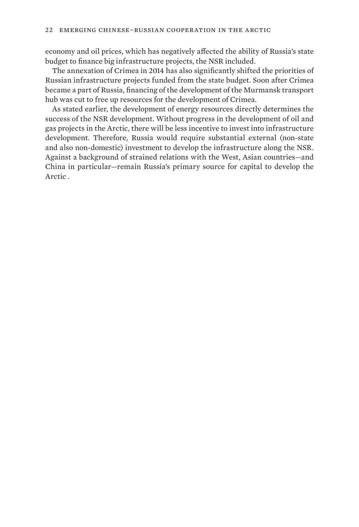economy and oil prices, which has negatively affected the ability of Russia's state budget to finance big infrastructure projects, the NSR included.

The annexation of Crimea in 2014 has also significantly shifted the priorities of Russian infrastructure projects funded from the state budget. Soon after Crimea became a part of Russia, financing of the development of the Murmansk transport hub was cut to free up resources for the development of Crimea.

As stated earlier, the development of energy resources directly determines the success of the NSR development. Without progress in the development of oil and gas projects in the Arctic, there will be less incentive to invest into infrastructure development. Therefore, Russia would require substantial external (non-state and also non-domestic) investment to develop the infrastructure along the NSR. Against a background of strained relations with the West, Asian countries—and China in particular—remain Russia's primary source for capital to develop the Arctic .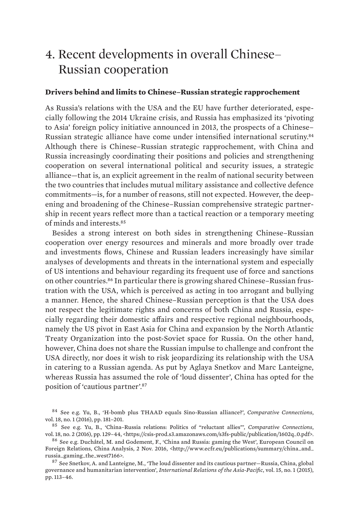# <span id="page-34-0"></span>4. Recent developments in overall Chinese– Russian cooperation

#### **Drivers behind and limits to Chinese–Russian strategic rapprochement**

As Russia's relations with the USA and the EU have further deteriorated, especially following the 2014 Ukraine crisis, and Russia has emphasized its 'pivoting to Asia' foreign policy initiative announced in 2013, the prospects of a Chinese– Russian strategic alliance have come under intensified international scrutiny.<sup>84</sup> Although there is Chinese–Russian strategic rapprochement, with China and Russia increasingly coordinating their positions and policies and strengthening cooperation on several international political and security issues, a strategic alliance—that is, an explicit agreement in the realm of national security between the two countries that includes mutual military assistance and collective defence commitments—is, for a number of reasons, still not expected. However, the deepening and broadening of the Chinese–Russian comprehensive strategic partnership in recent years reflect more than a tactical reaction or a temporary meeting of minds and interests.<sup>85</sup>

Besides a strong interest on both sides in strengthening Chinese–Russian cooperation over energy resources and minerals and more broadly over trade and investments flows, Chinese and Russian leaders increasingly have similar analyses of developments and threats in the international system and especially of US intentions and behaviour regarding its frequent use of force and sanctions on other countries.86 In particular there is growing shared Chinese–Russian frustration with the USA, which is perceived as acting in too arrogant and bullying a manner. Hence, the shared Chinese–Russian perception is that the USA does not respect the legitimate rights and concerns of both China and Russia, especially regarding their domestic affairs and respective regional neighbourhoods, namely the US pivot in East Asia for China and expansion by the North Atlantic Treaty Organization into the post-Soviet space for Russia. On the other hand, however, China does not share the Russian impulse to challenge and confront the USA directly, nor does it wish to risk jeopardizing its relationship with the USA in catering to a Russian agenda. As put by Aglaya Snetkov and Marc Lanteigne, whereas Russia has assumed the role of 'loud dissenter', China has opted for the position of 'cautious partner'.<sup>87</sup>

<sup>84</sup>  See e.g. Yu, B., 'H-bomb plus THAAD equals Sino-Russian alliance?', *Comparative Connections*, vol. 18, no. 1 (2016), pp. 181–201.

<sup>85</sup>  See e.g. Yu, B., 'China–Russia relations: Politics of "reluctant allies"', *Comparative Connections*, vol. 18, no. 2 (2016), pp. 129–44, <https://csis-prod.s3.amazonaws.com/s3fs-public/publication/1602q\_0.pdf>.

<sup>86</sup>  See e.g. Duchâtel, M. and Godement, F., 'China and Russia: gaming the West', European Council on Foreign Relations, China Analysis, 2 Nov. 2016, <http://www.ecfr.eu/publications/summary/china\_and\_ russia\_gaming\_the\_west7166>.

<sup>87</sup>  See Snetkov, A. and Lanteigne, M., 'The loud dissenter and its cautious partner—Russia, China, global governance and humanitarian intervention', *International Relations of the Asia-Pacific*, vol. 15, no. 1 (2015), pp. 113–46.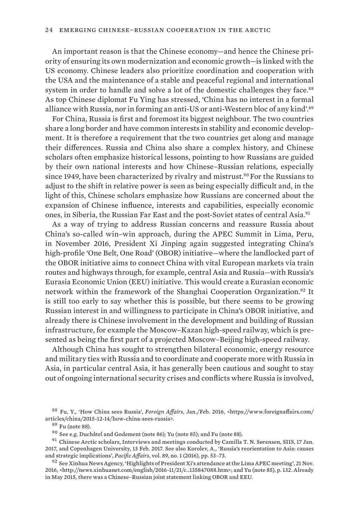An important reason is that the Chinese economy—and hence the Chinese priority of ensuring its own modernization and economic growth—is linked with the US economy. Chinese leaders also prioritize coordination and cooperation with the USA and the maintenance of a stable and peaceful regional and international system in order to handle and solve a lot of the domestic challenges they face.<sup>88</sup> As top Chinese diplomat Fu Ying has stressed, 'China has no interest in a formal alliance with Russia, nor in forming an anti-US or anti-Western bloc of any kind'.<sup>89</sup>

For China, Russia is first and foremost its biggest neighbour. The two countries share a long border and have common interests in stability and economic development. It is therefore a requirement that the two countries get along and manage their differences. Russia and China also share a complex history, and Chinese scholars often emphasize historical lessons, pointing to how Russians are guided by their own national interests and how Chinese–Russian relations, especially since 1949, have been characterized by rivalry and mistrust.<sup>90</sup> For the Russians to adjust to the shift in relative power is seen as being especially difficult and, in the light of this, Chinese scholars emphasize how Russians are concerned about the expansion of Chinese influence, interests and capabilities, especially economic ones, in Siberia, the Russian Far East and the post-Soviet states of central Asia.<sup>91</sup>

As a way of trying to address Russian concerns and reassure Russia about China's so-called win–win approach, during the APEC Summit in Lima, Peru, in November 2016, President Xi Jinping again suggested integrating China's high-profile 'One Belt, One Road' (OBOR) initiative—where the landlocked part of the OBOR initiative aims to connect China with vital European markets via train routes and highways through, for example, central Asia and Russia—with Russia's Eurasia Economic Union (EEU) initiative. This would create a Eurasian economic network within the framework of the Shanghai Cooperation Organization.92 It is still too early to say whether this is possible, but there seems to be growing Russian interest in and willingness to participate in China's OBOR initiative, and already there is Chinese involvement in the development and building of Russian infrastructure, for example the Moscow–Kazan high-speed railway, which is presented as being the first part of a projected Moscow–Beijing high-speed railway.

Although China has sought to strengthen bilateral economic, energy resource and military ties with Russia and to coordinate and cooperate more with Russia in Asia, in particular central Asia, it has generally been cautious and sought to stay out of ongoing international security crises and conflicts where Russia is involved,

<sup>89</sup>  Fu (note 88).

<sup>88</sup>  Fu, Y., 'How China sees Russia', *Foreign Affairs*, Jan./Feb. 2016, <https://www.foreignaffairs.com/ articles/china/2015-12-14/how-china-sees-russia>.

<sup>90</sup>  See e.g. Duchâtel and Godement (note 86); Yu (note 85); and Fu (note 88).

<sup>91</sup>  Chinese Arctic scholars, Interviews and meetings conducted by Camilla T. N. Sørensen, SIIS, 17 Jan. 2017, and Copenhagen University, 13 Feb. 2017. See also Korolev, A., 'Russia's reorientation to Asia: causes and strategic implications', *Pacific Affairs*, vol. 89, no. 1 (2016), pp. 53–73.

<sup>92</sup>  See Xinhua News Agency, 'Highlights of President Xi's attendance at the Lima APEC meeting', 21 Nov. 2016, <http://news.xinhuanet.com/english/2016-11/21/c\_135847088.htm>; and Yu (note 85), p. 132. Already in May 2015, there was a Chinese–Russian joint statement linking OBOR and EEU.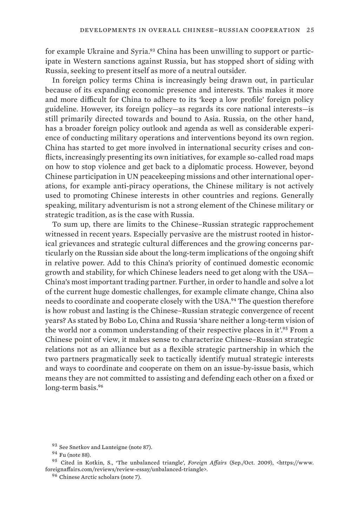for example Ukraine and Syria.<sup>93</sup> China has been unwilling to support or participate in Western sanctions against Russia, but has stopped short of siding with Russia, seeking to present itself as more of a neutral outsider.

In foreign policy terms China is increasingly being drawn out, in particular because of its expanding economic presence and interests. This makes it more and more difficult for China to adhere to its 'keep a low profile' foreign policy guideline. However, its foreign policy—as regards its core national interests—is still primarily directed towards and bound to Asia. Russia, on the other hand, has a broader foreign policy outlook and agenda as well as considerable experience of conducting military operations and interventions beyond its own region. China has started to get more involved in international security crises and conflicts, increasingly presenting its own initiatives, for example so-called road maps on how to stop violence and get back to a diplomatic process. However, beyond Chinese participation in UN peacekeeping missions and other international operations, for example anti-piracy operations, the Chinese military is not actively used to promoting Chinese interests in other countries and regions. Generally speaking, military adventurism is not a strong element of the Chinese military or strategic tradition, as is the case with Russia.

To sum up, there are limits to the Chinese–Russian strategic rapprochement witnessed in recent years. Especially pervasive are the mistrust rooted in historical grievances and strategic cultural differences and the growing concerns particularly on the Russian side about the long-term implications of the ongoing shift in relative power. Add to this China's priority of continued domestic economic growth and stability, for which Chinese leaders need to get along with the USA— China's most important trading partner. Further, in order to handle and solve a lot of the current huge domestic challenges, for example climate change, China also needs to coordinate and cooperate closely with the USA.94 The question therefore is how robust and lasting is the Chinese–Russian strategic convergence of recent years? As stated by Bobo Lo, China and Russia 'share neither a long-term vision of the world nor a common understanding of their respective places in it'.95 From a Chinese point of view, it makes sense to characterize Chinese–Russian strategic relations not as an alliance but as a flexible strategic partnership in which the two partners pragmatically seek to tactically identify mutual strategic interests and ways to coordinate and cooperate on them on an issue-by-issue basis, which means they are not committed to assisting and defending each other on a fixed or long-term basis.<sup>96</sup>

<sup>93</sup>  See Snetkov and Lanteigne (note 87).

<sup>94</sup>  Fu (note 88).

<sup>95</sup>  Cited in Kotkin, S., 'The unbalanced triangle', *Foreign Affairs* (Sep./Oct. 2009), <https://www. foreignaffairs.com/reviews/review-essay/unbalanced-triangle>.

<sup>96</sup>  Chinese Arctic scholars (note 7).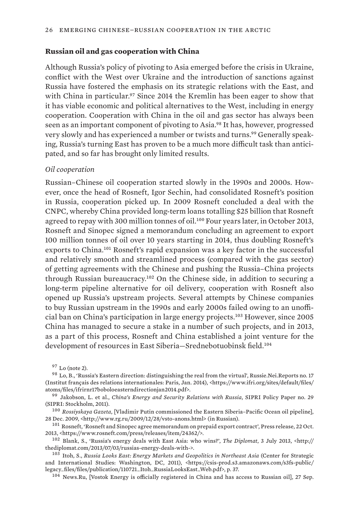#### <span id="page-37-0"></span>**Russian oil and gas cooperation with China**

Although Russia's policy of pivoting to Asia emerged before the crisis in Ukraine, conflict with the West over Ukraine and the introduction of sanctions against Russia have fostered the emphasis on its strategic relations with the East, and with China in particular.<sup>97</sup> Since 2014 the Kremlin has been eager to show that it has viable economic and political alternatives to the West, including in energy cooperation. Cooperation with China in the oil and gas sector has always been seen as an important component of pivoting to Asia.98 It has, however, progressed very slowly and has experienced a number or twists and turns.99 Generally speaking, Russia's turning East has proven to be a much more difficult task than anticipated, and so far has brought only limited results.

#### *Oil cooperation*

Russian–Chinese oil cooperation started slowly in the 1990s and 2000s. However, once the head of Rosneft, Igor Sechin, had consolidated Rosneft's position in Russia, cooperation picked up. In 2009 Rosneft concluded a deal with the CNPC, whereby China provided long-term loans totalling \$25 billion that Rosneft agreed to repay with 300 million tonnes of oil.100 Four years later, in October 2013, Rosneft and Sinopec signed a memorandum concluding an agreement to export 100 million tonnes of oil over 10 years starting in 2014, thus doubling Rosneft's exports to China.101 Rosneft's rapid expansion was a key factor in the successful and relatively smooth and streamlined process (compared with the gas sector) of getting agreements with the Chinese and pushing the Russia–China projects through Russian bureaucracy.102 On the Chinese side, in addition to securing a long-term pipeline alternative for oil delivery, cooperation with Rosneft also opened up Russia's upstream projects. Several attempts by Chinese companies to buy Russian upstream in the 1990s and early 2000s failed owing to an unofficial ban on China's participation in large energy projects.103 However, since 2005 China has managed to secure a stake in a number of such projects, and in 2013, as a part of this process, Rosneft and China established a joint venture for the development of resources in East Siberia—Srednebotuobinsk field.<sup>104</sup>

 $97$  Lo (note 2).

<sup>98</sup>  Lo, B., 'Russia's Eastern direction: distinguishing the real from the virtual', Russie.Nei.Reports no. 17 (Institut français des relations internationales: Paris, Jan. 2014), <https://www.ifri.org/sites/default/files/ atoms/files/ifrirnr17boboloeasterndirectionjan2014.pdf>.

<sup>99</sup>  Jakobson, L. et al., *China's Energy and Security Relations with Russia*, SIPRI Policy Paper no. 29 (SIPRI: Stockholm, 2011).

<sup>100</sup>  *Rossiyskaya Gazeta*, [Vladimir Putin commissioned the Eastern Siberia–Pacific Ocean oil pipeline], 28 Dec. 2009, <http://www.rg.ru/2009/12/28/vsto-anons.html> (in Russian).

<sup>101</sup>  Rosneft, 'Rosneft and Sinopec agree memorandum on prepaid export contract', Press release, 22 Oct. 2013, <https://www.rosneft.com/press/releases/item/24362/>.

<sup>102</sup>  Blank, S., 'Russia's energy deals with East Asia: who wins?', *The Diplomat*, 3 July 2013, <http:// thediplomat.com/2013/07/03/russias-energy-deals-with->.

<sup>103</sup>  Itoh, S., *Russia Looks East: Energy Markets and Geopolitics in Northeast Asia* (Center for Strategic and International Studies: Washington, DC, 2011), <https://csis-prod.s3.amazonaws.com/s3fs-public/ legacy\_files/files/publication/110721\_Itoh\_RussiaLooksEast\_Web.pdf>, p. 37.

<sup>104</sup>  News.Ru, [Vostok Energy is officially registered in China and has access to Russian oil], 27 Sep.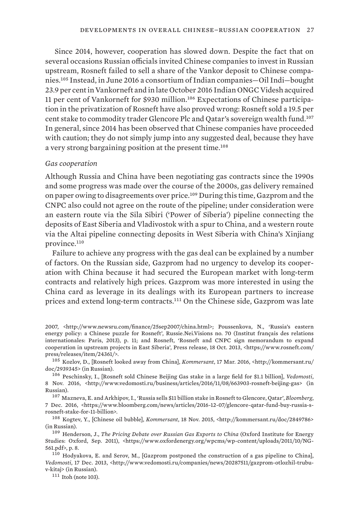Since 2014, however, cooperation has slowed down. Despite the fact that on several occasions Russian officials invited Chinese companies to invest in Russian upstream, Rosneft failed to sell a share of the Vankor deposit to Chinese companies.105 Instead, in June 2016 a consortium of Indian companies—Oil Indi—bought 23.9 per cent in Vankorneft and in late October 2016 Indian ONGC Videsh acquired 11 per cent of Vankorneft for \$930 million.106 Expectations of Chinese participation in the privatization of Rosneft have also proved wrong: Rosneft sold a 19.5 per cent stake to commodity trader Glencore Plc and Qatar's sovereign wealth fund.<sup>107</sup> In general, since 2014 has been observed that Chinese companies have proceeded with caution; they do not simply jump into any suggested deal, because they have a very strong bargaining position at the present time.<sup>108</sup>

#### *Gas cooperation*

Although Russia and China have been negotiating gas contracts since the 1990s and some progress was made over the course of the 2000s, gas delivery remained on paper owing to disagreements over price.109 During this time, Gazprom and the CNPC also could not agree on the route of the pipeline; under consideration were an eastern route via the Sila Sibiri ('Power of Siberia') pipeline connecting the deposits of East Siberia and Vladivostok with a spur to China, and a western route via the Altai pipeline connecting deposits in West Siberia with China's Xinjiang province.<sup>110</sup>

Failure to achieve any progress with the gas deal can be explained by a number of factors. On the Russian side, Gazprom had no urgency to develop its cooperation with China because it had secured the European market with long-term contracts and relatively high prices. Gazprom was more interested in using the China card as leverage in its dealings with its European partners to increase prices and extend long-term contracts.111 On the Chinese side, Gazprom was late

2007, <http://www.newsru.com/finance/25sep2007/china.html>; Poussenkova, N., 'Russia's eastern energy policy: a Chinese puzzle for Rosneft', Russie.Nei.Visions no. 70 (Institut français des relations internationales: Paris, 2013), p. 11; and Rosneft, 'Rosneft and CNPC sign memorandum to expand cooperation in upstream projects in East Siberia', Press release, 18 Oct. 2013, <https://www.rosneft.com/ press/releases/item/24361/>.

<sup>105</sup>  Kozlov, D., [Rosneft looked away from China], *Kommersant*, 17 Mar. 2016, <http://kommersant.ru/ doc/2939345> (in Russian).

<sup>106</sup>  Peschinsky, I., [Rosneft sold Chinese Beijing Gas stake in a large field for \$1.1 billion], *Vedomosti*, 8 Nov. 2016, <http://www.vedomosti.ru/business/articles/2016/11/08/663903-rosneft-beijing-gas> (in Russian).

<sup>107</sup>  Mazneva, E. and Arkhipov, I., 'Russia sells \$11 billion stake in Rosneft to Glencore, Qatar', *Bloomberg*, 7 Dec. 2016, <https://www.bloomberg.com/news/articles/2016-12-07/glencore-qatar-fund-buy-russia-srosneft-stake-for-11-billion>.

<sup>108</sup>  Kogtev, Y., [Chinese oil bubble], *Kommersant*, 18 Nov. 2015, <http://kommersant.ru/doc/2849786> (in Russian).

<sup>109</sup>  Henderson, J., *The Pricing Debate over Russian Gas Exports to China* (Oxford Institute for Energy Studies: Oxford, Sep. 2011), <https://www.oxfordenergy.org/wpcms/wp-content/uploads/2011/10/NG-561.pdf>, p. 8.

<sup>110</sup>  Hodyakova, E. and Serov, M., [Gazprom postponed the construction of a gas pipeline to China], *Vedomosti*, 17 Dec. 2013, <http://www.vedomosti.ru/companies/news/20287511/gazprom-otlozhil-trubuv-kitaj> (in Russian).

<sup>111</sup>  Itoh (note 103).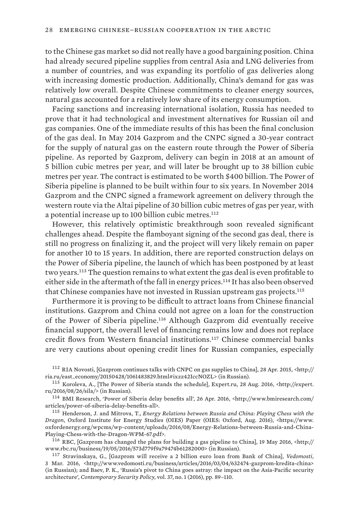to the Chinese gas market so did not really have a good bargaining position. China had already secured pipeline supplies from central Asia and LNG deliveries from a number of countries, and was expanding its portfolio of gas deliveries along with increasing domestic production. Additionally, China's demand for gas was relatively low overall. Despite Chinese commitments to cleaner energy sources, natural gas accounted for a relatively low share of its energy consumption.

Facing sanctions and increasing international isolation, Russia has needed to prove that it had technological and investment alternatives for Russian oil and gas companies. One of the immediate results of this has been the final conclusion of the gas deal. In May 2014 Gazprom and the CNPC signed a 30-year contract for the supply of natural gas on the eastern route through the Power of Siberia pipeline. As reported by Gazprom, delivery can begin in 2018 at an amount of 5 billion cubic metres per year, and will later be brought up to 38 billion cubic metres per year. The contract is estimated to be worth \$400 billion. The Power of Siberia pipeline is planned to be built within four to six years. In November 2014 Gazprom and the CNPC signed a framework agreement on delivery through the western route via the Altai pipeline of 30 billion cubic metres of gas per year, with a potential increase up to 100 billion cubic metres.<sup>112</sup>

However, this relatively optimistic breakthrough soon revealed significant challenges ahead. Despite the flamboyant signing of the second gas deal, there is still no progress on finalizing it, and the project will very likely remain on paper for another 10 to 15 years. In addition, there are reported construction delays on the Power of Siberia pipeline, the launch of which has been postponed by at least two years.113 The question remains to what extent the gas deal is even profitable to either side in the aftermath of the fall in energy prices.<sup>114</sup> It has also been observed that Chinese companies have not invested in Russian upstream gas projects.<sup>115</sup>

Furthermore it is proving to be difficult to attract loans from Chinese financial institutions. Gazprom and China could not agree on a loan for the construction of the Power of Siberia pipeline.116 Although Gazprom did eventually receive financial support, the overall level of financing remains low and does not replace credit flows from Western financial institutions.117 Chinese commercial banks are very cautions about opening credit lines for Russian companies, especially

<sup>116</sup>  RBC, [Gazprom has changed the plans for building a gas pipeline to China], 19 May 2016, <http:// www.rbc.ru/business/19/05/2016/573d779f9a79474b61282000> (in Russian).

<sup>117</sup>  Stravinskaya, G., [Gazprom will receive a 2 billion euro loan from Bank of China], *Vedomosti*, 3 Mar. 2016, <http://www.vedomosti.ru/business/articles/2016/03/04/632474-gazprom-kredita-china> (in Russian); and Baev, P. K., 'Russia's pivot to China goes astray: the impact on the Asia-Pacific security architecture', *Contemporary Security Policy*, vol. 37, no. 1 (2016), pp. 89–110.

<sup>112</sup>  RIA Novosti, [Gazprom continues talks with CNPC on gas supplies to China], 28 Apr. 2015, <http:// ria.ru/east\_economy/20150428/1061483829.html#ixzz42IccNOZL> (in Russian).

<sup>113</sup>  Koroleva, A., [The Power of Siberia stands the schedule], Expert.ru, 28 Aug. 2016, <http://expert. ru/2016/08/26/sila/> (in Russian).

<sup>114</sup>  BMI Research, 'Power of Siberia delay benefits all', 26 Apr. 2016, <http://www.bmiresearch.com/ articles/power-of-siberia-delay-benefits-all>.

<sup>115</sup>  Henderson, J. and Mitrova, T., *Energy Relations between Russia and China: Playing Chess with the Dragon*, Oxford Institute for Energy Studies (OIES) Paper (OIES: Oxford, Aug. 2016), <https://www. oxfordenergy.org/wpcms/wp-content/uploads/2016/08/Energy-Relations-between-Russia-and-China-Playing-Chess-with-the-Dragon-WPM-67.pdf>.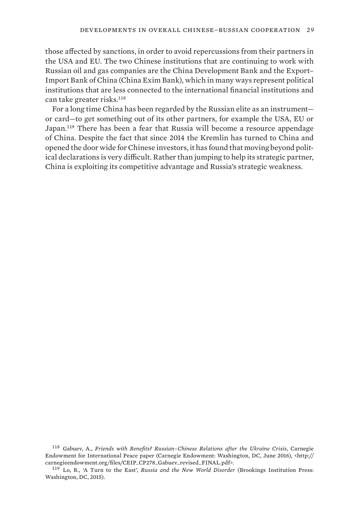those affected by sanctions, in order to avoid repercussions from their partners in the USA and EU. The two Chinese institutions that are continuing to work with Russian oil and gas companies are the China Development Bank and the Export– Import Bank of China (China Exim Bank), which in many ways represent political institutions that are less connected to the international financial institutions and can take greater risks.<sup>118</sup>

For a long time China has been regarded by the Russian elite as an instrument or card—to get something out of its other partners, for example the USA, EU or Japan.<sup>119</sup> There has been a fear that Russia will become a resource appendage of China. Despite the fact that since 2014 the Kremlin has turned to China and opened the door wide for Chinese investors, it has found that moving beyond political declarations is very difficult. Rather than jumping to help its strategic partner, China is exploiting its competitive advantage and Russia's strategic weakness.

<sup>118</sup>  Gabuev, A., *Friends with Benefits? Russian–Chinese Relations after the Ukraine Crisis*, Carnegie Endowment for International Peace paper (Carnegie Endowment: Washington, DC, June 2016), <http:// carnegieendowment.org/files/CEIP\_CP278\_Gabuev\_revised\_FINAL.pdf>.

<sup>119</sup>  Lo, B., 'A Turn to the East', *Russia and the New World Disorder* (Brookings Institution Press: Washington, DC, 2015).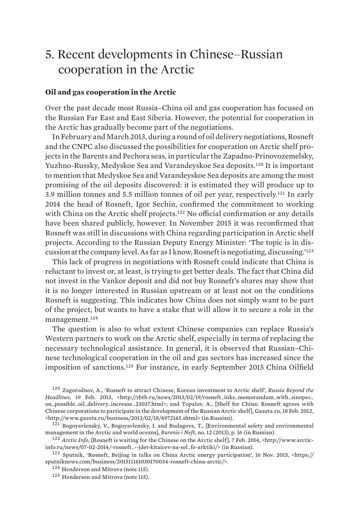# <span id="page-42-0"></span>5. Recent developments in Chinese–Russian cooperation in the Arctic

#### **Oil and gas cooperation in the Arctic**

Over the past decade most Russia–China oil and gas cooperation has focused on the Russian Far East and East Siberia. However, the potential for cooperation in the Arctic has gradually become part of the negotiations.

In February and March 2013, during a round of oil delivery negotiations, Rosneft and the CNPC also discussed the possibilities for cooperation on Arctic shelf projects in the Barents and Pechora seas, in particular the Zapadno-Prinovozemelsky, Yuzhno-Russky, Medyskoe Sea and Varandeyskoe Sea deposits.120 It is important to mention that Medyskoe Sea and Varandeyskoe Sea deposits are among the most promising of the oil deposits discovered: it is estimated they will produce up to 3.9 million tonnes and 5.5 million tonnes of oil per year, respectively.121 In early 2014 the head of Rosneft, Igor Sechin, confirmed the commitment to working with China on the Arctic shelf projects.<sup>122</sup> No official confirmation or any details have been shared publicly, however. In November 2015 it was reconfirmed that Rosneft was still in discussions with China regarding participation in Arctic shelf projects. According to the Russian Deputy Energy Minister: 'The topic is in discussion at the company level. As far as I know, Rosneft is negotiating, discussing.'<sup>123</sup>

This lack of progress in negotiations with Rosneft could indicate that China is reluctant to invest or, at least, is trying to get better deals. The fact that China did not invest in the Vankor deposit and did not buy Rosneft's shares may show that it is no longer interested in Russian upstream or at least not on the conditions Rosneft is suggesting. This indicates how China does not simply want to be part of the project, but wants to have a stake that will allow it to secure a role in the management.<sup>124</sup>

The question is also to what extent Chinese companies can replace Russia's Western partners to work on the Arctic shelf, especially in terms of replacing the necessary technological assistance. In general, it is observed that Russian–Chinese technological cooperation in the oil and gas sectors has increased since the imposition of sanctions.125 For instance, in early September 2015 China Oilfield

<sup>120</sup>  Zagorodnov, A., 'Rosneft to attract Chinese, Korean investment to Arctic shelf', *Russia Beyond the Headlines*, 19 Feb. 2013, <http://rbth.ru/news/2013/02/19/rosneft\_inks\_memorandum\_with\_sinopec\_ on\_possible\_oil\_delivery\_increase\_23037.html>; and Topalov, A., [Shelf for China: Rosneft agrees with Chinese corporations to participate in the development of the Russian Arctic shelf], Gazeta.ru, 18 Feb. 2012, <http://www.gazeta.ru/business/2013/02/18/4972145.shtml> (in Russian).

 $121$  Bogovavlensky, V., Bogoyavlensky, I. and Budagova, T., [Environmental safety and environmental management in the Arctic and world oceans], *Burenie i Neft*, no. 12 (2013), p. 16 (in Russian).

<sup>122</sup>  *Arctic Info*, [Rosneft is waiting for the Chinese on the Arctic shelf], 7 Feb. 2014, <http://www.arcticinfo.ru/news/07-02-2014/-rosneft\_--jdet-kitaicev-na-sel\_fe-arktiki/> (in Russian).

<sup>123</sup>  Sputnik, 'Rosneft, Beijing in talks on China Arctic energy participation', 16 Nov. 2015, <https:// sputniknews.com/business/201511161030170034-rosneft-china-arctic/>.

<sup>&</sup>lt;sup>124</sup> Henderson and Mitrova (note 115).

<sup>125</sup>  Henderson and Mitrova (note 115).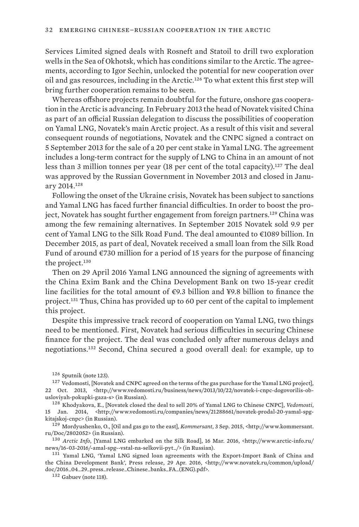Services Limited signed deals with Rosneft and Statoil to drill two exploration wells in the Sea of Okhotsk, which has conditions similar to the Arctic. The agreements, according to Igor Sechin, unlocked the potential for new cooperation over oil and gas resources, including in the Arctic.<sup>126</sup> To what extent this first step will bring further cooperation remains to be seen.

Whereas offshore projects remain doubtful for the future, onshore gas cooperation in the Arctic is advancing. In February 2013 the head of Novatek visited China as part of an official Russian delegation to discuss the possibilities of cooperation on Yamal LNG, Novatek's main Arctic project. As a result of this visit and several consequent rounds of negotiations, Novatek and the CNPC signed a contract on 5 September 2013 for the sale of a 20 per cent stake in Yamal LNG. The agreement includes a long-term contract for the supply of LNG to China in an amount of not less than 3 million tonnes per year (18 per cent of the total capacity).<sup>127</sup> The deal was approved by the Russian Government in November 2013 and closed in January 2014.<sup>128</sup>

Following the onset of the Ukraine crisis, Novatek has been subject to sanctions and Yamal LNG has faced further financial difficulties. In order to boost the project, Novatek has sought further engagement from foreign partners.129 China was among the few remaining alternatives. In September 2015 Novatek sold 9.9 per cent of Yamal LNG to the Silk Road Fund. The deal amounted to €1089 billion. In December 2015, as part of deal, Novatek received a small loan from the Silk Road Fund of around  $\epsilon$ 730 million for a period of 15 years for the purpose of financing the project.<sup>130</sup>

Then on 29 April 2016 Yamal LNG announced the signing of agreements with the China Exim Bank and the China Development Bank on two 15-year credit line facilities for the total amount of  $\epsilon$ 9.3 billion and ¥9.8 billion to finance the project.131 Thus, China has provided up to 60 per cent of the capital to implement this project.

Despite this impressive track record of cooperation on Yamal LNG, two things need to be mentioned. First, Novatek had serious difficulties in securing Chinese finance for the project. The deal was concluded only after numerous delays and negotiations.132 Second, China secured a good overall deal: for example, up to

<sup>126</sup>  Sputnik (note 123).

<sup>&</sup>lt;sup>127</sup> Vedomosti, [Novatek and CNPC agreed on the terms of the gas purchase for the Yamal LNG project], 22 Oct. 2013, <http://www.vedomosti.ru/business/news/2013/10/22/novatek-i-cnpc-dogovorilis-obusloviyah-pokupki-gaza-s> (in Russian).

<sup>128</sup>  Khodyakova, E., [Novatek closed the deal to sell 20% of Yamal LNG to Chinese CNPC], *Vedomosti*, 15 Jan. 2014, <http://www.vedomosti.ru/companies/news/21288661/novatek-prodal-20-yamal-spgkitajskoj-cnpc> (in Russian).

<sup>129</sup>  Mordyushenko, O., [Oil and gas go to the east], *Kommersant*, 3 Sep. 2015, <http://www.kommersant. ru/Doc/2802052> (in Russian).

<sup>130</sup>  *Arctic Info*, [Yamal LNG embarked on the Silk Road], 16 Mar. 2016, <http://www.arctic-info.ru/ news/16-03-2016/-amal-spg--vstal-na-selkovii-pyt\_/> (in Russian).

<sup>&</sup>lt;sup>131</sup> Yamal LNG, 'Yamal LNG signed loan agreements with the Export-Import Bank of China and the China Development Bank', Press release, 29 Apr. 2016, <http://www.novatek.ru/common/upload/ doc/2016\_04\_29\_press\_release\_Chinese\_banks\_FA\_(ENG).pdf>.

<sup>132</sup>  Gabuev (note 118).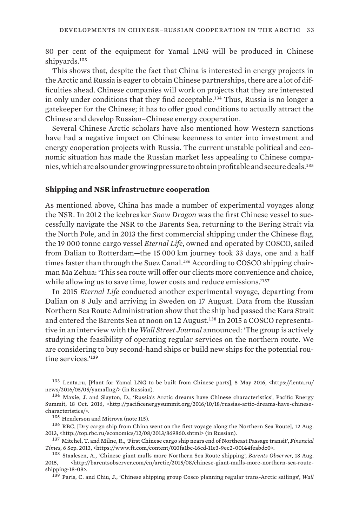<span id="page-44-0"></span>80 per cent of the equipment for Yamal LNG will be produced in Chinese shipyards.<sup>133</sup>

This shows that, despite the fact that China is interested in energy projects in the Arctic and Russia is eager to obtain Chinese partnerships, there are a lot of difficulties ahead. Chinese companies will work on projects that they are interested in only under conditions that they find acceptable.<sup>134</sup> Thus, Russia is no longer a gatekeeper for the Chinese; it has to offer good conditions to actually attract the Chinese and develop Russian–Chinese energy cooperation.

Several Chinese Arctic scholars have also mentioned how Western sanctions have had a negative impact on Chinese keenness to enter into investment and energy cooperation projects with Russia. The current unstable political and economic situation has made the Russian market less appealing to Chinese companies, which are also under growing pressure to obtain profitable and secure deals.<sup>135</sup>

#### **Shipping and NSR infrastructure cooperation**

As mentioned above, China has made a number of experimental voyages along the NSR. In 2012 the icebreaker *Snow Dragon* was the first Chinese vessel to successfully navigate the NSR to the Barents Sea, returning to the Bering Strait via the North Pole, and in 2013 the first commercial shipping under the Chinese flag, the 19 000 tonne cargo vessel *Eternal Life*, owned and operated by COSCO, sailed from Dalian to Rotterdam—the 15 000 km journey took 33 days, one and a half times faster than through the Suez Canal.136 According to COSCO shipping chairman Ma Zehua: 'This sea route will offer our clients more convenience and choice, while allowing us to save time, lower costs and reduce emissions.<sup>'137</sup>

In 2015 *Eternal Life* conducted another experimental voyage, departing from Dalian on 8 July and arriving in Sweden on 17 August. Data from the Russian Northern Sea Route Administration show that the ship had passed the Kara Strait and entered the Barents Sea at noon on 12 August.<sup>138</sup> In 2015 a COSCO representative in an interview with the *Wall Street Journal* announced: 'The group is actively studying the feasibility of operating regular services on the northern route. We are considering to buy second-hand ships or build new ships for the potential routine services<sup>'139</sup>

<sup>139</sup>  Paris, C. and Chiu, J., 'Chinese shipping group Cosco planning regular trans-Arctic sailings', *Wall* 

<sup>133</sup>  Lenta.ru, [Plant for Yamal LNG to be built from Chinese parts], 5 May 2016, <https://lenta.ru/ news/2016/05/05/yamallng/> (in Russian).

<sup>134</sup>  Maxie, J. and Slayton, D., 'Russia's Arctic dreams have Chinese characteristics', Pacific Energy Summit, 18 Oct. 2016, <http://pacificenergysummit.org/2016/10/18/russias-artic-dreams-have-chinesecharacteristics/>.

<sup>135</sup>  Henderson and Mitrova (note 115).

<sup>&</sup>lt;sup>136</sup> RBC, [Dry cargo ship from China went on the first voyage along the Northern Sea Route], 12 Aug. 2013, <http://top.rbc.ru/economics/12/08/2013/869860.shtml> (in Russian).

<sup>137</sup>  Mitchel, T. and Milne, R., 'First Chinese cargo ship nears end of Northeast Passage transit', *Financial Times*, 6 Sep. 2013, <https://www.ft.com/content/010fa1bc-16cd-11e3-9ec2-00144feabdc0>.

<sup>138</sup>  Staalesen, A., 'Chinese giant mulls more Northern Sea Route shipping', *Barents Observer*, 18 Aug. 2015, <http://barentsobserver.com/en/arctic/2015/08/chinese-giant-mulls-more-northern-sea-routeshipping-18-08>.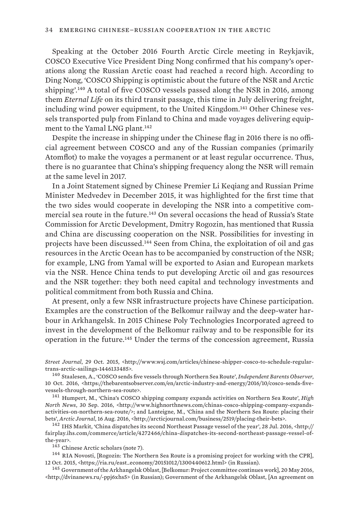Speaking at the October 2016 Fourth Arctic Circle meeting in Reykjavik, COSCO Executive Vice President Ding Nong confirmed that his company's operations along the Russian Arctic coast had reached a record high. According to Ding Nong, 'COSCO Shipping is optimistic about the future of the NSR and Arctic shipping'.140 A total of five COSCO vessels passed along the NSR in 2016, among them *Eternal Life* on its third transit passage, this time in July delivering freight, including wind power equipment, to the United Kingdom.141 Other Chinese vessels transported pulp from Finland to China and made voyages delivering equipment to the Yamal LNG plant.<sup>142</sup>

Despite the increase in shipping under the Chinese flag in 2016 there is no official agreement between COSCO and any of the Russian companies (primarily Atomflot) to make the voyages a permanent or at least regular occurrence. Thus, there is no guarantee that China's shipping frequency along the NSR will remain at the same level in 2017.

In a Joint Statement signed by Chinese Premier Li Keqiang and Russian Prime Minister Medvedev in December 2015, it was highlighted for the first time that the two sides would cooperate in developing the NSR into a competitive commercial sea route in the future.143 On several occasions the head of Russia's State Commission for Arctic Development, Dmitry Rogozin, has mentioned that Russia and China are discussing cooperation on the NSR. Possibilities for investing in projects have been discussed.144 Seen from China, the exploitation of oil and gas resources in the Arctic Ocean has to be accompanied by construction of the NSR; for example, LNG from Yamal will be exported to Asian and European markets via the NSR. Hence China tends to put developing Arctic oil and gas resources and the NSR together: they both need capital and technology investments and political commitment from both Russia and China.

At present, only a few NSR infrastructure projects have Chinese participation. Examples are the construction of the Belkomur railway and the deep-water harbour in Arkhangelsk. In 2015 Chinese Poly Technologies Incorporated agreed to invest in the development of the Belkomur railway and to be responsible for its operation in the future.145 Under the terms of the concession agreement, Russia

*Street Journal*, 29 Oct. 2015, <http://www.wsj.com/articles/chinese-shipper-cosco-to-schedule-regulartrans-arctic-sailings-1446133485>.

<sup>140</sup>  Staalesen, A., 'COSCO sends five vessels through Northern Sea Route', *Independent Barents Observer*, 10 Oct. 2016, <https://thebarentsobserver.com/en/arctic-industry-and-energy/2016/10/cosco-sends-fivevessels-through-northern-sea-route>.

<sup>141</sup>  Humpert, M., 'China's COSCO shipping company expands activities on Northern Sea Route', *High North News*, 30 Sep. 2016, <http://www.highnorthnews.com/chinas-cosco-shipping-company-expandsactivities-on-northern-sea-route/>; and Lanteigne, M., 'China and the Northern Sea Route: placing their bets', *Arctic Journal*, 16 Aug. 2016, <http://arcticjournal.com/business/2519/placing-their-bets>.

<sup>142</sup>  IHS Markit, 'China dispatches its second Northeast Passage vessel of the year', 28 Jul. 2016, <http:// fairplay.ihs.com/commerce/article/4272466/china-dispatches-its-second-northeast-passage-vessel-ofthe-year>.

<sup>143</sup>  Chinese Arctic scholars (note 7).

<sup>144</sup> RIA Novosti, [Rogozin: The Northern Sea Route is a promising project for working with the CPR], 12 Oct. 2015, <https://ria.ru/east\_economy/20151012/1300440612.html> (in Russian).

<sup>145</sup>  Government of the Arkhangelsk Oblast, [Belkomur: Project committee continues work], 20 May 2016, <http://dvinanews.ru/-ppj6xhs5> (in Russian); Government of the Arkhangelsk Oblast, [An agreement on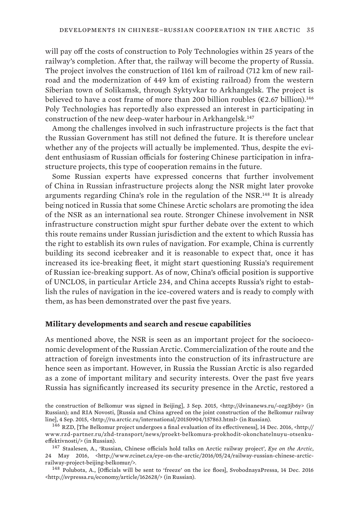<span id="page-46-0"></span>will pay off the costs of construction to Poly Technologies within 25 years of the railway's completion. After that, the railway will become the property of Russia. The project involves the construction of 1161 km of railroad (712 km of new railroad and the modernization of 449 km of existing railroad) from the western Siberian town of Solikamsk, through Syktyvkar to Arkhangelsk. The project is believed to have a cost frame of more than 200 billion roubles ( $\epsilon$ 2.67 billion).<sup>146</sup> Poly Technologies has reportedly also expressed an interest in participating in construction of the new deep-water harbour in Arkhangelsk.<sup>147</sup>

Among the challenges involved in such infrastructure projects is the fact that the Russian Government has still not defined the future. It is therefore unclear whether any of the projects will actually be implemented. Thus, despite the evident enthusiasm of Russian officials for fostering Chinese participation in infrastructure projects, this type of cooperation remains in the future.

Some Russian experts have expressed concerns that further involvement of China in Russian infrastructure projects along the NSR might later provoke arguments regarding China's role in the regulation of the NSR.148 It is already being noticed in Russia that some Chinese Arctic scholars are promoting the idea of the NSR as an international sea route. Stronger Chinese involvement in NSR infrastructure construction might spur further debate over the extent to which this route remains under Russian jurisdiction and the extent to which Russia has the right to establish its own rules of navigation. For example, China is currently building its second icebreaker and it is reasonable to expect that, once it has increased its ice-breaking fleet, it might start questioning Russia's requirement of Russian ice-breaking support. As of now, China's official position is supportive of UNCLOS, in particular Article 234, and China accepts Russia's right to establish the rules of navigation in the ice-covered waters and is ready to comply with them, as has been demonstrated over the past five years.

#### **Military developments and search and rescue capabilities**

As mentioned above, the NSR is seen as an important project for the socioeconomic development of the Russian Arctic. Commercialization of the route and the attraction of foreign investments into the construction of its infrastructure are hence seen as important. However, in Russia the Russian Arctic is also regarded as a zone of important military and security interests. Over the past five years Russia has significantly increased its security presence in the Arctic, restored a

the construction of Belkomur was signed in Beijing], 3 Sep. 2015, <http://dvinanews.ru/-ozg3jb6y> (in Russian); and RIA Novosti, [Russia and China agreed on the joint construction of the Belkomur railway line], 4 Sep. 2015, <http://ru.arctic.ru/international/20150904/157863.html> (in Russian).

<sup>147</sup>  Staalesen, A., 'Russian, Chinese officials hold talks on Arctic railway project', *Eye on the Arctic*, 24 May 2016, <http://www.rcinet.ca/eye-on-the-arctic/2016/05/24/railway-russian-chinese-arcticrailway-project-beijing-belkomur/>.

<sup>148</sup>  Polubota, A., [Officials will be sent to 'freeze' on the ice floes], SvobodnayaPressa, 14 Dec. 2016 <[http://svpressa.ru/economy/article/162628/>](http://svpressa.ru/economy/article/162628/) (in Russian).

<sup>146</sup>  RZD, [The Belkomur project undergoes a final evaluation of its effectiveness], 14 Dec. 2016, <http:// www.rzd-partner.ru/zhd-transport/news/proekt-belkomura-prokhodit-okonchatelnuyu-otsenkueffektivnosti/> (in Russian).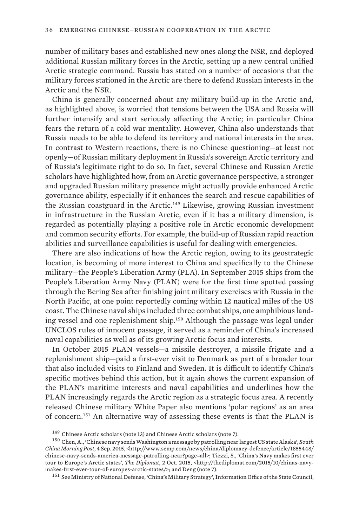number of military bases and established new ones along the NSR, and deployed additional Russian military forces in the Arctic, setting up a new central unified Arctic strategic command. Russia has stated on a number of occasions that the military forces stationed in the Arctic are there to defend Russian interests in the Arctic and the NSR.

China is generally concerned about any military build-up in the Arctic and, as highlighted above, is worried that tensions between the USA and Russia will further intensify and start seriously affecting the Arctic; in particular China fears the return of a cold war mentality. However, China also understands that Russia needs to be able to defend its territory and national interests in the area. In contrast to Western reactions, there is no Chinese questioning—at least not openly—of Russian military deployment in Russia's sovereign Arctic territory and of Russia's legitimate right to do so. In fact, several Chinese and Russian Arctic scholars have highlighted how, from an Arctic governance perspective, a stronger and upgraded Russian military presence might actually provide enhanced Arctic governance ability, especially if it enhances the search and rescue capabilities of the Russian coastguard in the Arctic.149 Likewise, growing Russian investment in infrastructure in the Russian Arctic, even if it has a military dimension, is regarded as potentially playing a positive role in Arctic economic development and common security efforts. For example, the build-up of Russian rapid reaction abilities and surveillance capabilities is useful for dealing with emergencies.

There are also indications of how the Arctic region, owing to its geostrategic location, is becoming of more interest to China and specifically to the Chinese military—the People's Liberation Army (PLA). In September 2015 ships from the People's Liberation Army Navy (PLAN) were for the first time spotted passing through the Bering Sea after finishing joint military exercises with Russia in the North Pacific, at one point reportedly coming within 12 nautical miles of the US coast. The Chinese naval ships included three combat ships, one amphibious landing vessel and one replenishment ship.150 Although the passage was legal under UNCLOS rules of innocent passage, it served as a reminder of China's increased naval capabilities as well as of its growing Arctic focus and interests.

In October 2015 PLAN vessels—a missile destroyer, a missile frigate and a replenishment ship—paid a first-ever visit to Denmark as part of a broader tour that also included visits to Finland and Sweden. It is difficult to identify China's specific motives behind this action, but it again shows the current expansion of the PLAN's maritime interests and naval capabilities and underlines how the PLAN increasingly regards the Arctic region as a strategic focus area. A recently released Chinese military White Paper also mentions 'polar regions' as an area of concern.151 An alternative way of assessing these events is that the PLAN is

<sup>&</sup>lt;sup>149</sup> Chinese Arctic scholars (note 13) and Chinese Arctic scholars (note 7).

<sup>150</sup>  Chen, A., 'Chinese navy sends Washington a message by patrolling near largest US state Alaska', *South China Morning Post*, 4 Sep. 2015, <http://www.scmp.com/news/china/diplomacy-defence/article/1855448/ chinese-navy-sends-america-message-patrolling-near?page=all>; Tiezzi, S., 'China's Navy makes first ever tour to Europe's Arctic states', *The Diplomat*, 2 Oct. 2015, <http://thediplomat.com/2015/10/chinas-navymakes-first-ever-tour-of-europes-arctic-states/>; and Deng (note 7).

<sup>151</sup>  See Ministry of National Defense, 'China's Military Strategy', Information Office of the State Council,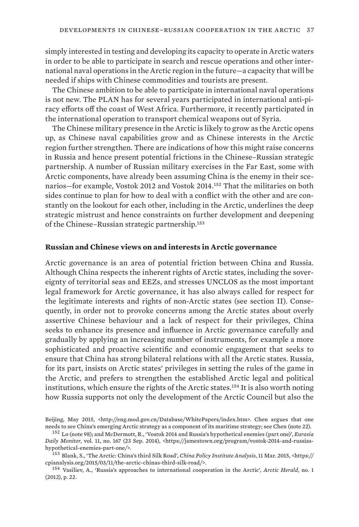<span id="page-48-0"></span>simply interested in testing and developing its capacity to operate in Arctic waters in order to be able to participate in search and rescue operations and other international naval operations in the Arctic region in the future—a capacity that will be needed if ships with Chinese commodities and tourists are present.

The Chinese ambition to be able to participate in international naval operations is not new. The PLAN has for several years participated in international anti-piracy efforts off the coast of West Africa. Furthermore, it recently participated in the international operation to transport chemical weapons out of Syria.

The Chinese military presence in the Arctic is likely to grow as the Arctic opens up, as Chinese naval capabilities grow and as Chinese interests in the Arctic region further strengthen. There are indications of how this might raise concerns in Russia and hence present potential frictions in the Chinese–Russian strategic partnership. A number of Russian military exercises in the Far East, some with Arctic components, have already been assuming China is the enemy in their scenarios—for example, Vostok 2012 and Vostok 2014.152 That the militaries on both sides continue to plan for how to deal with a conflict with the other and are constantly on the lookout for each other, including in the Arctic, underlines the deep strategic mistrust and hence constraints on further development and deepening of the Chinese–Russian strategic partnership.<sup>153</sup>

#### **Russian and Chinese views on and interests in Arctic governance**

Arctic governance is an area of potential friction between China and Russia. Although China respects the inherent rights of Arctic states, including the sovereignty of territorial seas and EEZs, and stresses UNCLOS as the most important legal framework for Arctic governance, it has also always called for respect for the legitimate interests and rights of non-Arctic states (see section II). Consequently, in order not to provoke concerns among the Arctic states about overly assertive Chinese behaviour and a lack of respect for their privileges, China seeks to enhance its presence and influence in Arctic governance carefully and gradually by applying an increasing number of instruments, for example a more sophisticated and proactive scientific and economic engagement that seeks to ensure that China has strong bilateral relations with all the Arctic states. Russia, for its part, insists on Arctic states' privileges in setting the rules of the game in the Arctic, and prefers to strengthen the established Arctic legal and political institutions, which ensure the rights of the Arctic states.154 It is also worth noting how Russia supports not only the development of the Arctic Council but also the

Beijing, May 2015, <http://eng.mod.gov.cn/Database/WhitePapers/index.htm>. Chen argues that one needs to see China's emerging Arctic strategy as a component of its maritime strategy; see Chen (note 22).

<sup>152</sup>  Lo (note 98); and McDermott, R., 'Vostok 2014 and Russia's hypothetical enemies (part one)', *Eurasia Daily Monitor*, vol. 11, no. 167 (23 Sep. 2014), <https://jamestown.org/program/vostok-2014-and-russiashypothetical-enemies-part-one/>.

<sup>153</sup>  Blank, S., 'The Arctic: China's third Silk Road', *China Policy Institute Analysis*, 11 Mar. 2015, <https:// cpianalysis.org/2015/03/11/the-arctic-chinas-third-silk-road/>.

<sup>154</sup>  Vasiliev, A., 'Russia's approaches to international cooperation in the Arctic', *Arctic Herald*, no. 1 (2012), p. 22.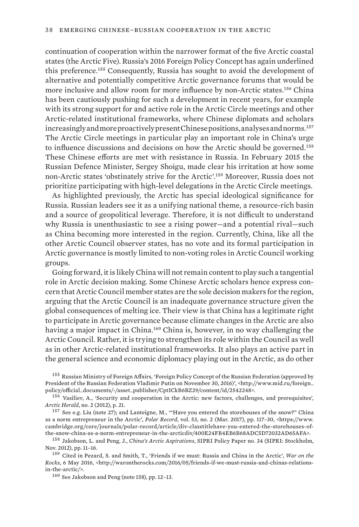continuation of cooperation within the narrower format of the five Arctic coastal states (the Arctic Five). Russia's 2016 Foreign Policy Concept has again underlined this preference.155 Consequently, Russia has sought to avoid the development of alternative and potentially competitive Arctic governance forums that would be more inclusive and allow room for more influence by non-Arctic states.156 China has been cautiously pushing for such a development in recent years, for example with its strong support for and active role in the Arctic Circle meetings and other Arctic-related institutional frameworks, where Chinese diplomats and scholars increasingly and more proactively present Chinese positions, analyses and norms.<sup>157</sup> The Arctic Circle meetings in particular play an important role in China's urge to influence discussions and decisions on how the Arctic should be governed.<sup>158</sup> These Chinese efforts are met with resistance in Russia. In February 2015 the Russian Defence Minister, Sergey Shoigu, made clear his irritation at how some non-Arctic states 'obstinately strive for the Arctic'.159 Moreover, Russia does not prioritize participating with high-level delegations in the Arctic Circle meetings.

As highlighted previously, the Arctic has special ideological significance for Russia. Russian leaders see it as a unifying national theme, a resource-rich basin and a source of geopolitical leverage. Therefore, it is not difficult to understand why Russia is unenthusiastic to see a rising power—and a potential rival—such as China becoming more interested in the region. Currently, China, like all the other Arctic Council observer states, has no vote and its formal participation in Arctic governance is mostly limited to non-voting roles in Arctic Council working groups.

Going forward, it is likely China will not remain content to play such a tangential role in Arctic decision making. Some Chinese Arctic scholars hence express concern that Arctic Council member states are the sole decision makers for the region, arguing that the Arctic Council is an inadequate governance structure given the global consequences of melting ice. Their view is that China has a legitimate right to participate in Arctic governance because climate changes in the Arctic are also having a major impact in China.160 China is, however, in no way challenging the Arctic Council. Rather, it is trying to strengthen its role within the Council as well as in other Arctic-related institutional frameworks. It also plays an active part in the general science and economic diplomacy playing out in the Arctic, as do other

<sup>155</sup>  Russian Ministry of Foreign Affairs, 'Foreign Policy Concept of the Russian Federation (approved by President of the Russian Federation Vladimir Putin on November 30, 2016)', <http://www.mid.ru/foreign\_ policy/official\_documents/-/asset\_publisher/CptICkB6BZ29/content/id/2542248>.

<sup>156</sup> Vasiliev, A., 'Security and cooperation in the Arctic: new factors, challenges, and prerequisites', *Arctic Herald*, no. 2 (2012), p. 21.

<sup>157</sup>  See e.g. Liu (note 27); and Lanteigne, M., '"Have you entered the storehouses of the snow?" China as a norm entrepreneur in the Arctic', *Polar Record*, vol. 53, no. 2 (Mar. 2017), pp. 117–30, <https://www. cambridge.org/core/journals/polar-record/article/div-classtitlehave-you-entered-the-storehouses-ofthe-snow-china-as-a-norm-entrepreneur-in-the-arcticdiv/400E24FB4EB6B68ADC5D72032AD65AFA>.

<sup>158</sup>  Jakobson, L. and Peng, J., *China's Arctic Aspirations*, SIPRI Policy Paper no. 34 (SIPRI: Stockholm, Nov. 2012), pp. 11–16.

<sup>159</sup>  Cited in Pezard, S. and Smith, T., 'Friends if we must: Russia and China in the Arctic', *War on the Rocks*, 6 May 2016, <http://warontherocks.com/2016/05/friends-if-we-must-russia-and-chinas-relationsin-the-arctic/>.

<sup>160</sup>  See Jakobson and Peng (note 158), pp. 12–13.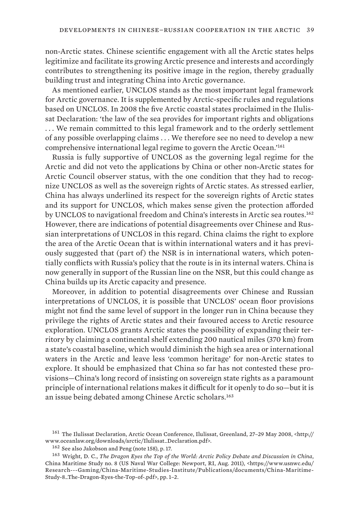non-Arctic states. Chinese scientific engagement with all the Arctic states helps legitimize and facilitate its growing Arctic presence and interests and accordingly contributes to strengthening its positive image in the region, thereby gradually building trust and integrating China into Arctic governance.

As mentioned earlier, UNCLOS stands as the most important legal framework for Arctic governance. It is supplemented by Arctic-specific rules and regulations based on UNCLOS. In 2008 the five Arctic coastal states proclaimed in the Ilulissat Declaration: 'the law of the sea provides for important rights and obligations . . . We remain committed to this legal framework and to the orderly settlement of any possible overlapping claims . . . We therefore see no need to develop a new comprehensive international legal regime to govern the Arctic Ocean.'<sup>161</sup>

Russia is fully supportive of UNCLOS as the governing legal regime for the Arctic and did not veto the applications by China or other non-Arctic states for Arctic Council observer status, with the one condition that they had to recognize UNCLOS as well as the sovereign rights of Arctic states. As stressed earlier, China has always underlined its respect for the sovereign rights of Arctic states and its support for UNCLOS, which makes sense given the protection afforded by UNCLOS to navigational freedom and China's interests in Arctic sea routes.<sup>162</sup> However, there are indications of potential disagreements over Chinese and Russian interpretations of UNCLOS in this regard. China claims the right to explore the area of the Arctic Ocean that is within international waters and it has previously suggested that (part of) the NSR is in international waters, which potentially conflicts with Russia's policy that the route is in its internal waters. China is now generally in support of the Russian line on the NSR, but this could change as China builds up its Arctic capacity and presence.

Moreover, in addition to potential disagreements over Chinese and Russian interpretations of UNCLOS, it is possible that UNCLOS' ocean floor provisions might not find the same level of support in the longer run in China because they privilege the rights of Arctic states and their favoured access to Arctic resource exploration. UNCLOS grants Arctic states the possibility of expanding their territory by claiming a continental shelf extending 200 nautical miles (370 km) from a state's coastal baseline, which would diminish the high sea area or international waters in the Arctic and leave less 'common heritage' for non-Arctic states to explore. It should be emphasized that China so far has not contested these provisions—China's long record of insisting on sovereign state rights as a paramount principle of international relations makes it difficult for it openly to do so—but it is an issue being debated among Chinese Arctic scholars.<sup>163</sup>

<sup>161</sup>  The Ilulissat Declaration, Arctic Ocean Conference, Ilulissat, Greenland, 27–29 May 2008, <http:// www.oceanlaw.org/downloads/arctic/Ilulissat\_Declaration.pdf>.

<sup>162</sup>  See also Jakobson and Peng (note 158), p. 17.

<sup>163</sup>  Wright, D. C., *The Dragon Eyes the Top of the World: Arctic Policy Debate and Discussion in China*, China Maritime Study no. 8 (US Naval War College: Newport, RI, Aug. 2011), <https://www.usnwc.edu/ Research---Gaming/China-Maritime-Studies-Institute/Publications/documents/China-Maritime-Study-8\_The-Dragon-Eyes-the-Top-of-.pdf>, pp. 1–2.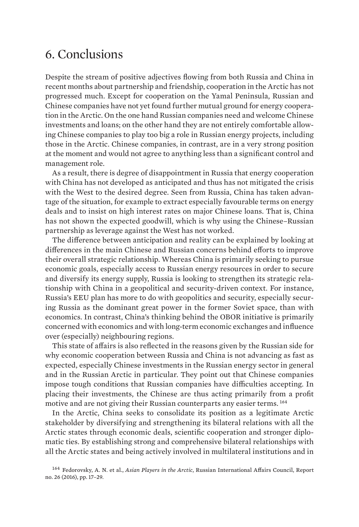## <span id="page-52-0"></span>6. Conclusions

Despite the stream of positive adjectives flowing from both Russia and China in recent months about partnership and friendship, cooperation in the Arctic has not progressed much. Except for cooperation on the Yamal Peninsula, Russian and Chinese companies have not yet found further mutual ground for energy cooperation in the Arctic. On the one hand Russian companies need and welcome Chinese investments and loans; on the other hand they are not entirely comfortable allowing Chinese companies to play too big a role in Russian energy projects, including those in the Arctic. Chinese companies, in contrast, are in a very strong position at the moment and would not agree to anything less than a significant control and management role.

As a result, there is degree of disappointment in Russia that energy cooperation with China has not developed as anticipated and thus has not mitigated the crisis with the West to the desired degree. Seen from Russia, China has taken advantage of the situation, for example to extract especially favourable terms on energy deals and to insist on high interest rates on major Chinese loans. That is, China has not shown the expected goodwill, which is why using the Chinese–Russian partnership as leverage against the West has not worked.

The difference between anticipation and reality can be explained by looking at differences in the main Chinese and Russian concerns behind efforts to improve their overall strategic relationship. Whereas China is primarily seeking to pursue economic goals, especially access to Russian energy resources in order to secure and diversify its energy supply, Russia is looking to strengthen its strategic relationship with China in a geopolitical and security-driven context. For instance, Russia's EEU plan has more to do with geopolitics and security, especially securing Russia as the dominant great power in the former Soviet space, than with economics. In contrast, China's thinking behind the OBOR initiative is primarily concerned with economics and with long-term economic exchanges and influence over (especially) neighbouring regions.

This state of affairs is also reflected in the reasons given by the Russian side for why economic cooperation between Russia and China is not advancing as fast as expected, especially Chinese investments in the Russian energy sector in general and in the Russian Arctic in particular. They point out that Chinese companies impose tough conditions that Russian companies have difficulties accepting. In placing their investments, the Chinese are thus acting primarily from a profit motive and are not giving their Russian counterparts any easier terms. <sup>164</sup>

In the Arctic, China seeks to consolidate its position as a legitimate Arctic stakeholder by diversifying and strengthening its bilateral relations with all the Arctic states through economic deals, scientific cooperation and stronger diplomatic ties. By establishing strong and comprehensive bilateral relationships with all the Arctic states and being actively involved in multilateral institutions and in

<sup>164</sup>  Fedorovsky, A. N. et al., *Asian Players in the Arctic*, Russian International Affairs Council, Report no. 26 (2016), pp. 17–29.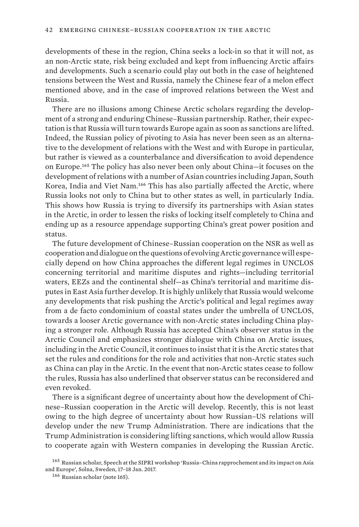developments of these in the region, China seeks a lock-in so that it will not, as an non-Arctic state, risk being excluded and kept from influencing Arctic affairs and developments. Such a scenario could play out both in the case of heightened tensions between the West and Russia, namely the Chinese fear of a melon effect mentioned above, and in the case of improved relations between the West and Russia.

There are no illusions among Chinese Arctic scholars regarding the development of a strong and enduring Chinese–Russian partnership. Rather, their expectation is that Russia will turn towards Europe again as soon as sanctions are lifted. Indeed, the Russian policy of pivoting to Asia has never been seen as an alternative to the development of relations with the West and with Europe in particular, but rather is viewed as a counterbalance and diversification to avoid dependence on Europe.165 The policy has also never been only about China—it focuses on the development of relations with a number of Asian countries including Japan, South Korea, India and Viet Nam.166 This has also partially affected the Arctic, where Russia looks not only to China but to other states as well, in particularly India. This shows how Russia is trying to diversify its partnerships with Asian states in the Arctic, in order to lessen the risks of locking itself completely to China and ending up as a resource appendage supporting China's great power position and status.

The future development of Chinese–Russian cooperation on the NSR as well as cooperation and dialogue on the questions of evolving Arctic governance will especially depend on how China approaches the different legal regimes in UNCLOS concerning territorial and maritime disputes and rights—including territorial waters, EEZs and the continental shelf—as China's territorial and maritime disputes in East Asia further develop. It is highly unlikely that Russia would welcome any developments that risk pushing the Arctic's political and legal regimes away from a de facto condominium of coastal states under the umbrella of UNCLOS, towards a looser Arctic governance with non-Arctic states including China playing a stronger role. Although Russia has accepted China's observer status in the Arctic Council and emphasizes stronger dialogue with China on Arctic issues, including in the Arctic Council, it continues to insist that it is the Arctic states that set the rules and conditions for the role and activities that non-Arctic states such as China can play in the Arctic. In the event that non-Arctic states cease to follow the rules, Russia has also underlined that observer status can be reconsidered and even revoked.

There is a significant degree of uncertainty about how the development of Chinese–Russian cooperation in the Arctic will develop. Recently, this is not least owing to the high degree of uncertainty about how Russian–US relations will develop under the new Trump Administration. There are indications that the Trump Administration is considering lifting sanctions, which would allow Russia to cooperate again with Western companies in developing the Russian Arctic.

<sup>&</sup>lt;sup>165</sup> Russian scholar, Speech at the SIPRI workshop 'Russia–China rapprochement and its impact on Asia and Europe', Solna, Sweden, 17–18 Jan. 2017.

<sup>166</sup>  Russian scholar (note 165).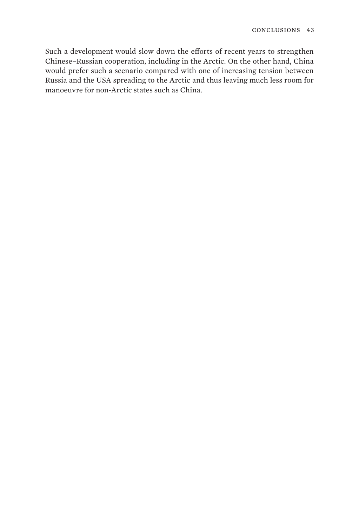Such a development would slow down the efforts of recent years to strengthen Chinese–Russian cooperation, including in the Arctic. On the other hand, China would prefer such a scenario compared with one of increasing tension between Russia and the USA spreading to the Arctic and thus leaving much less room for manoeuvre for non-Arctic states such as China.